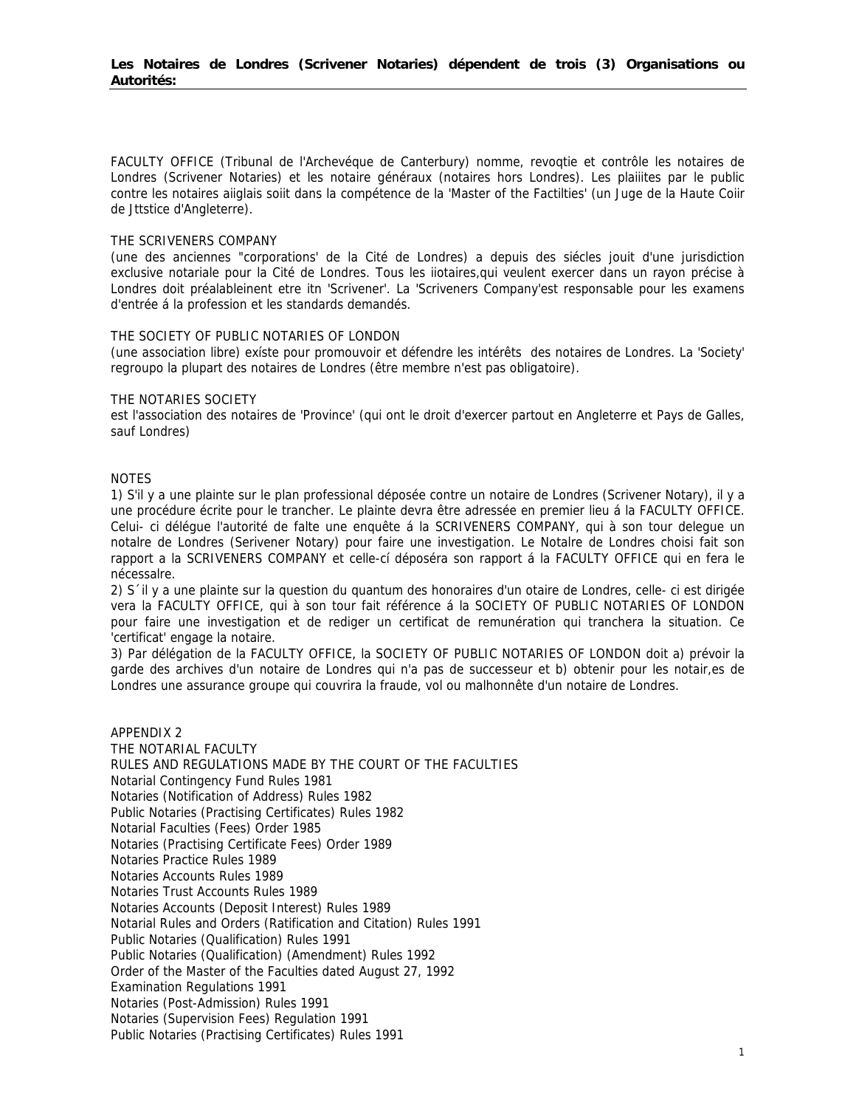FACULTY OFFICE (Tribunal de l'Archevéque de Canterbury) nomme, revogtie et contrôle les notaires de Londres (Scrivener Notaries) et les notaire généraux (notaires hors Londres). Les plaiiites par le public contre les notaires aiiglais soiit dans la compétence de la 'Master of the Factilties' (un Juge de la Haute Coiir de Jttstice d'Angleterre).

## THE SCRIVENERS COMPANY

(une des anciennes "corporations' de la Cité de Londres) a depuis des siécles jouit d'une jurisdiction exclusive notariale pour la Cité de Londres. Tous les iiotaires,qui veulent exercer dans un rayon précise à Londres doit préalableinent etre itn 'Scrivener'. La 'Scriveners Company'est responsable pour les examens d'entrée á la profession et les standards demandés.

## THE SOCIETY OF PUBLIC NOTARIES OF LONDON

(une association libre) exíste pour promouvoir et défendre les intérêts des notaires de Londres. La 'Society' regroupo la plupart des notaires de Londres (être membre n'est pas obligatoire).

## THE NOTARIES SOCIETY

est l'association des notaires de 'Province' (qui ont le droit d'exercer partout en Angleterre et Pays de Galles, sauf Londres)

## NOTES

1) S'il y a une plainte sur le plan professional déposée contre un notaire de Londres (Scrivener Notary), il y a une procédure écrite pour le trancher. Le plainte devra être adressée en premier lieu á la FACULTY OFFICE. Celui- ci délégue l'autorité de falte une enquête á la SCRIVENERS COMPANY, qui à son tour delegue un notalre de Londres (Serivener Notary) pour faire une investigation. Le Notalre de Londres choisi fait son rapport a la SCRIVENERS COMPANY et celle-cí déposéra son rapport á la FACULTY OFFICE qui en fera le nécessalre.

2) S´il y a une plainte sur la question du quantum des honoraires d'un otaire de Londres, celle- ci est dirigée vera la FACULTY OFFICE, qui à son tour fait référence á la SOCIETY OF PUBLIC NOTARIES OF LONDON pour faire une investigation et de rediger un certificat de remunération qui tranchera la situation. Ce 'certificat' engage la notaire.

3) Par délégation de la FACULTY OFFICE, la SOCIETY OF PUBLIC NOTARIES OF LONDON doit a) prévoir la garde des archives d'un notaire de Londres qui n'a pas de successeur et b) obtenir pour les notair,es de Londres une assurance groupe qui couvrira la fraude, vol ou malhonnête d'un notaire de Londres.

APPENDIX 2 THE NOTARIAL FACULTY RULES AND REGULATIONS MADE BY THE COURT OF THE FACULTIES Notarial Contingency Fund Rules 1981 Notaries (Notification of Address) Rules 1982 Public Notaries (Practising Certificates) Rules 1982 Notarial Faculties (Fees) Order 1985 Notaries (Practising Certificate Fees) Order 1989 Notaries Practice Rules 1989 Notaries Accounts Rules 1989 Notaries Trust Accounts Rules 1989 Notaries Accounts (Deposit Interest) Rules 1989 Notarial Rules and Orders (Ratification and Citation) Rules 1991 Public Notaries (Qualification) Rules 1991 Public Notaries (Qualification) (Amendment) Rules 1992 Order of the Master of the Faculties dated August 27, 1992 Examination Regulations 1991 Notaries (Post-Admission) Rules 1991 Notaries (Supervision Fees) Regulation 1991 Public Notaries (Practising Certificates) Rules 1991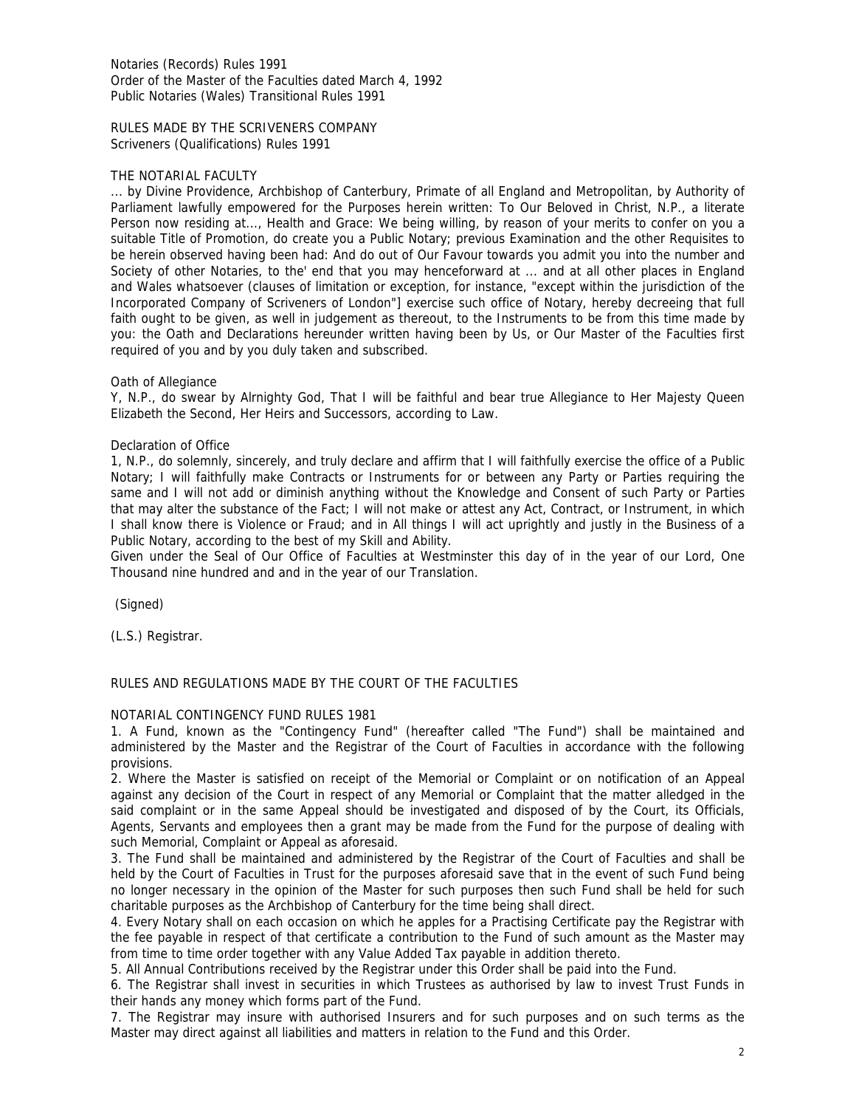Notaries (Records) Rules 1991 Order of the Master of the Faculties dated March 4, 1992 Public Notaries (Wales) Transitional Rules 1991

RULES MADE BY THE SCRIVENERS COMPANY Scriveners (Qualifications) Rules 1991

## THE NOTARIAL FACULTY

... by Divine Providence, Archbishop of Canterbury, Primate of all England and Metropolitan, by Authority of Parliament lawfully empowered for the Purposes herein written: To Our Beloved in Christ, N.P., a literate Person now residing at..., Health and Grace: We being willing, by reason of your merits to confer on you a suitable Title of Promotion, do create you a Public Notary; previous Examination and the other Requisites to be herein observed having been had: And do out of Our Favour towards you admit you into the number and Society of other Notaries, to the' end that you may henceforward at ... and at all other places in England and Wales whatsoever (clauses of limitation or exception, for instance, "except within the jurisdiction of the Incorporated Company of Scriveners of London"] exercise such office of Notary, hereby decreeing that full faith ought to be given, as well in judgement as thereout, to the Instruments to be from this time made by you: the Oath and Declarations hereunder written having been by Us, or Our Master of the Faculties first required of you and by you duly taken and subscribed.

## Oath of Allegiance

Y, N.P., do swear by Alrnighty God, That I will be faithful and bear true Allegiance to Her Majesty Queen Elizabeth the Second, Her Heirs and Successors, according to Law.

## Declaration of Office

1, N.P., do solemnly, sincerely, and truly declare and affirm that I will faithfully exercise the office of a Public Notary; I will faithfully make Contracts or Instruments for or between any Party or Parties requiring the same and I will not add or diminish anything without the Knowledge and Consent of such Party or Parties that may alter the substance of the Fact; I will not make or attest any Act, Contract, or Instrument, in which I shall know there is Violence or Fraud; and in All things I will act uprightly and justly in the Business of a Public Notary, according to the best of my Skill and Ability.

Given under the Seal of Our Office of Faculties at Westminster this day of in the year of our Lord, One Thousand nine hundred and and in the year of our Translation.

(Signed)

(L.S.) Registrar.

## RULES AND REGULATIONS MADE BY THE COURT OF THE FACULTIES

## NOTARIAL CONTINGENCY FUND RULES 1981

1. A Fund, known as the "Contingency Fund" (hereafter called "The Fund") shall be maintained and administered by the Master and the Registrar of the Court of Faculties in accordance with the following provisions.

2. Where the Master is satisfied on receipt of the Memorial or Complaint or on notification of an Appeal against any decision of the Court in respect of any Memorial or Complaint that the matter alledged in the said complaint or in the same Appeal should be investigated and disposed of by the Court, its Officials, Agents, Servants and employees then a grant may be made from the Fund for the purpose of dealing with such Memorial, Complaint or Appeal as aforesaid.

3. The Fund shall be maintained and administered by the Registrar of the Court of Faculties and shall be held by the Court of Faculties in Trust for the purposes aforesaid save that in the event of such Fund being no longer necessary in the opinion of the Master for such purposes then such Fund shall be held for such charitable purposes as the Archbishop of Canterbury for the time being shall direct.

4. Every Notary shall on each occasion on which he apples for a Practising Certificate pay the Registrar with the fee payable in respect of that certificate a contribution to the Fund of such amount as the Master may from time to time order together with any Value Added Tax payable in addition thereto.

5. All Annual Contributions received by the Registrar under this Order shall be paid into the Fund.

6. The Registrar shall invest in securities in which Trustees as authorised by law to invest Trust Funds in their hands any money which forms part of the Fund.

7. The Registrar may insure with authorised Insurers and for such purposes and on such terms as the Master may direct against all liabilities and matters in relation to the Fund and this Order.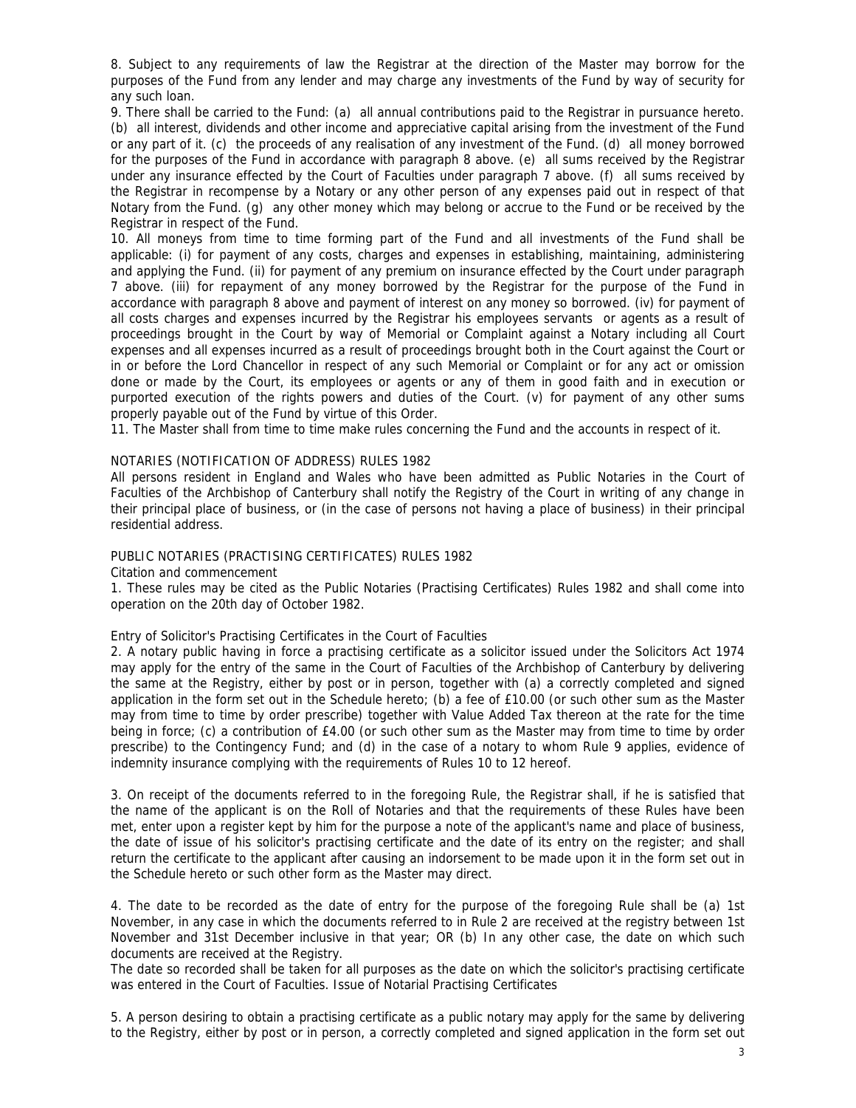8. Subject to any requirements of law the Registrar at the direction of the Master may borrow for the purposes of the Fund from any lender and may charge any investments of the Fund by way of security for any such loan.

9. There shall be carried to the Fund: (a) all annual contributions paid to the Registrar in pursuance hereto. (b) all interest, dividends and other income and appreciative capital arising from the investment of the Fund or any part of it. (c) the proceeds of any realisation of any investment of the Fund. (d) all money borrowed for the purposes of the Fund in accordance with paragraph 8 above. (e) all sums received by the Registrar under any insurance effected by the Court of Faculties under paragraph 7 above. (f) all sums received by the Registrar in recompense by a Notary or any other person of any expenses paid out in respect of that Notary from the Fund. (g) any other money which may belong or accrue to the Fund or be received by the Registrar in respect of the Fund.

10. All moneys from time to time forming part of the Fund and all investments of the Fund shall be applicable: (i) for payment of any costs, charges and expenses in establishing, maintaining, administering and applying the Fund. (ii) for payment of any premium on insurance effected by the Court under paragraph 7 above. (iii) for repayment of any money borrowed by the Registrar for the purpose of the Fund in accordance with paragraph 8 above and payment of interest on any money so borrowed. (iv) for payment of all costs charges and expenses incurred by the Registrar his employees servants or agents as a result of proceedings brought in the Court by way of Memorial or Complaint against a Notary including all Court expenses and all expenses incurred as a result of proceedings brought both in the Court against the Court or in or before the Lord Chancellor in respect of any such Memorial or Complaint or for any act or omission done or made by the Court, its employees or agents or any of them in good faith and in execution or purported execution of the rights powers and duties of the Court. (v) for payment of any other sums properly payable out of the Fund by virtue of this Order.

11. The Master shall from time to time make rules concerning the Fund and the accounts in respect of it.

## NOTARIES (NOTIFICATION OF ADDRESS) RULES 1982

All persons resident in England and Wales who have been admitted as Public Notaries in the Court of Faculties of the Archbishop of Canterbury shall notify the Registry of the Court in writing of any change in their principal place of business, or (in the case of persons not having a place of business) in their principal residential address.

## PUBLIC NOTARIES (PRACTISING CERTIFICATES) RULES 1982

Citation and commencement

1. These rules may be cited as the Public Notaries (Practising Certificates) Rules 1982 and shall come into operation on the 20th day of October 1982.

## Entry of Solicitor's Practising Certificates in the Court of Faculties

2. A notary public having in force a practising certificate as a solicitor issued under the Solicitors Act 1974 may apply for the entry of the same in the Court of Faculties of the Archbishop of Canterbury by delivering the same at the Registry, either by post or in person, together with (a) a correctly completed and signed application in the form set out in the Schedule hereto; (b) a fee of £10.00 (or such other sum as the Master may from time to time by order prescribe) together with Value Added Tax thereon at the rate for the time being in force; (c) a contribution of £4.00 (or such other sum as the Master may from time to time by order prescribe) to the Contingency Fund; and (d) in the case of a notary to whom Rule 9 applies, evidence of indemnity insurance complying with the requirements of Rules 10 to 12 hereof.

3. On receipt of the documents referred to in the foregoing Rule, the Registrar shall, if he is satisfied that the name of the applicant is on the Roll of Notaries and that the requirements of these Rules have been met, enter upon a register kept by him for the purpose a note of the applicant's name and place of business, the date of issue of his solicitor's practising certificate and the date of its entry on the register; and shall return the certificate to the applicant after causing an indorsement to be made upon it in the form set out in the Schedule hereto or such other form as the Master may direct.

4. The date to be recorded as the date of entry for the purpose of the foregoing Rule shall be (a) 1st November, in any case in which the documents referred to in Rule 2 are received at the registry between 1st November and 31st December inclusive in that year; OR (b) In any other case, the date on which such documents are received at the Registry.

The date so recorded shall be taken for all purposes as the date on which the solicitor's practising certificate was entered in the Court of Faculties. Issue of Notarial Practising Certificates

5. A person desiring to obtain a practising certificate as a public notary may apply for the same by delivering to the Registry, either by post or in person, a correctly completed and signed application in the form set out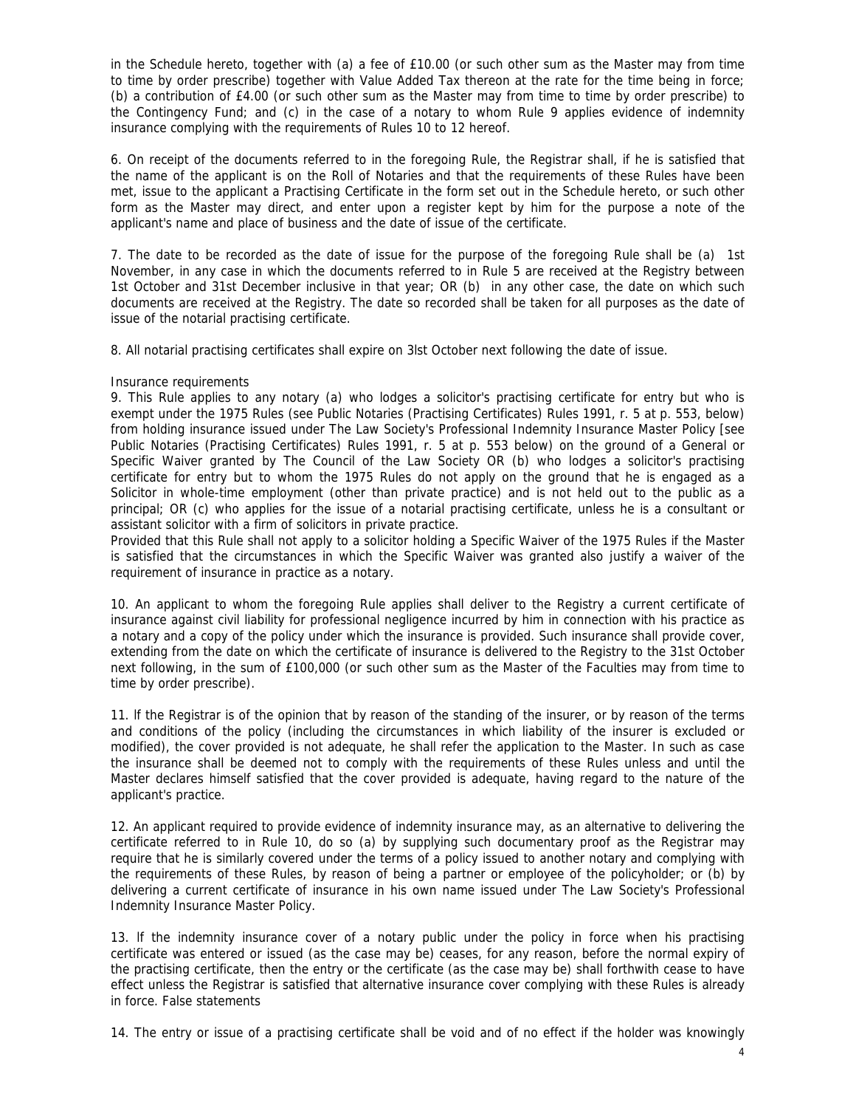in the Schedule hereto, together with (a) a fee of £10.00 (or such other sum as the Master may from time to time by order prescribe) together with Value Added Tax thereon at the rate for the time being in force; (b) a contribution of £4.00 (or such other sum as the Master may from time to time by order prescribe) to the Contingency Fund; and (c) in the case of a notary to whom Rule 9 applies evidence of indemnity insurance complying with the requirements of Rules 10 to 12 hereof.

6. On receipt of the documents referred to in the foregoing Rule, the Registrar shall, if he is satisfied that the name of the applicant is on the Roll of Notaries and that the requirements of these Rules have been met, issue to the applicant a Practising Certificate in the form set out in the Schedule hereto, or such other form as the Master may direct, and enter upon a register kept by him for the purpose a note of the applicant's name and place of business and the date of issue of the certificate.

7. The date to be recorded as the date of issue for the purpose of the foregoing Rule shall be (a) 1st November, in any case in which the documents referred to in Rule 5 are received at the Registry between 1st October and 31st December inclusive in that year; OR (b) in any other case, the date on which such documents are received at the Registry. The date so recorded shall be taken for all purposes as the date of issue of the notarial practising certificate.

8. All notarial practising certificates shall expire on 3lst October next following the date of issue.

## Insurance requirements

9. This Rule applies to any notary (a) who lodges a solicitor's practising certificate for entry but who is exempt under the 1975 Rules (see Public Notaries (Practising Certificates) Rules 1991, r. 5 at p. 553, below) from holding insurance issued under The Law Society's Professional Indemnity Insurance Master Policy [see Public Notaries (Practising Certificates) Rules 1991, r. 5 at p. 553 below) on the ground of a General or Specific Waiver granted by The Council of the Law Society OR (b) who lodges a solicitor's practising certificate for entry but to whom the 1975 Rules do not apply on the ground that he is engaged as a Solicitor in whole-time employment (other than private practice) and is not held out to the public as a principal; OR (c) who applies for the issue of a notarial practising certificate, unless he is a consultant or assistant solicitor with a firm of solicitors in private practice.

Provided that this Rule shall not apply to a solicitor holding a Specific Waiver of the 1975 Rules if the Master is satisfied that the circumstances in which the Specific Waiver was granted also justify a waiver of the requirement of insurance in practice as a notary.

10. An applicant to whom the foregoing Rule applies shall deliver to the Registry a current certificate of insurance against civil liability for professional negligence incurred by him in connection with his practice as a notary and a copy of the policy under which the insurance is provided. Such insurance shall provide cover, extending from the date on which the certificate of insurance is delivered to the Registry to the 31st October next following, in the sum of £100,000 (or such other sum as the Master of the Faculties may from time to time by order prescribe).

11. lf the Registrar is of the opinion that by reason of the standing of the insurer, or by reason of the terms and conditions of the policy (including the circumstances in which liability of the insurer is excluded or modified), the cover provided is not adequate, he shall refer the application to the Master. In such as case the insurance shall be deemed not to comply with the requirements of these Rules unless and until the Master declares himself satisfied that the cover provided is adequate, having regard to the nature of the applicant's practice.

12. An applicant required to provide evidence of indemnity insurance may, as an alternative to delivering the certificate referred to in Rule 10, do so (a) by supplying such documentary proof as the Registrar may require that he is similarly covered under the terms of a policy issued to another notary and complying with the requirements of these Rules, by reason of being a partner or employee of the policyholder; or (b) by delivering a current certificate of insurance in his own name issued under The Law Society's Professional Indemnity Insurance Master Policy.

13. lf the indemnity insurance cover of a notary public under the policy in force when his practising certificate was entered or issued (as the case may be) ceases, for any reason, before the normal expiry of the practising certificate, then the entry or the certificate (as the case may be) shall forthwith cease to have effect unless the Registrar is satisfied that alternative insurance cover complying with these Rules is already in force. False statements

14. The entry or issue of a practising certificate shall be void and of no effect if the holder was knowingly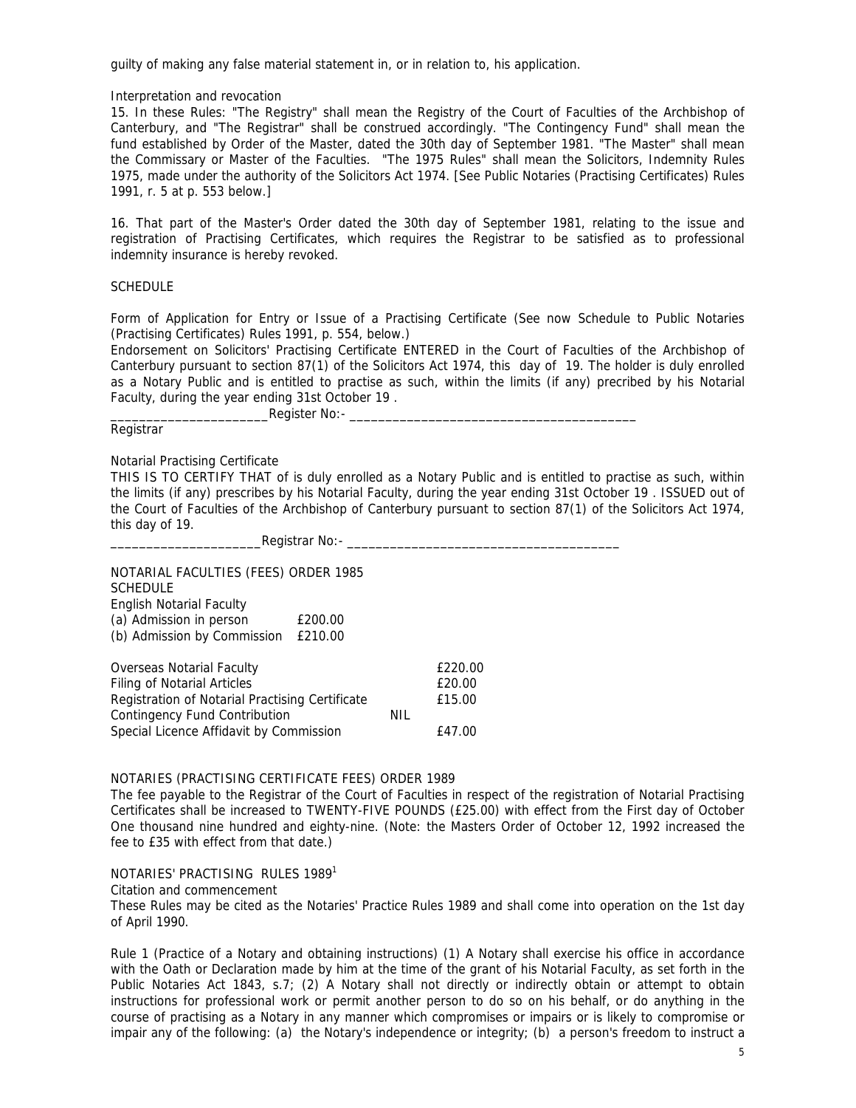guilty of making any false material statement in, or in relation to, his application.

## Interpretation and revocation

15. In these Rules: "The Registry" shall mean the Registry of the Court of Faculties of the Archbishop of Canterbury, and "The Registrar" shall be construed accordingly. "The Contingency Fund" shall mean the fund established by Order of the Master, dated the 30th day of September 1981. "The Master" shall mean the Commissary or Master of the Faculties. "The 1975 Rules" shall mean the Solicitors, Indemnity Rules 1975, made under the authority of the Solicitors Act 1974. [See Public Notaries (Practising Certificates) Rules 1991, r. 5 at p. 553 below.]

16. That part of the Master's Order dated the 30th day of September 1981, relating to the issue and registration of Practising Certificates, which requires the Registrar to be satisfied as to professional indemnity insurance is hereby revoked.

## **SCHEDULE**

Form of Application for Entry or Issue of a Practising Certificate (See now Schedule to Public Notaries (Practising Certificates) Rules 1991, p. 554, below.)

Endorsement on Solicitors' Practising Certificate ENTERED in the Court of Faculties of the Archbishop of Canterbury pursuant to section 87(1) of the Solicitors Act 1974, this day of 19. The holder is duly enrolled as a Notary Public and is entitled to practise as such, within the limits (if any) precribed by his Notarial Faculty, during the year ending 31st October 19 .

| $No:$ -<br>Reaister |
|---------------------|
| . .                 |

## Registrar

## Notarial Practising Certificate

THIS IS TO CERTIFY THAT of is duly enrolled as a Notary Public and is entitled to practise as such, within the limits (if any) prescribes by his Notarial Faculty, during the year ending 31st October 19 . ISSUED out of the Court of Faculties of the Archbishop of Canterbury pursuant to section 87(1) of the Solicitors Act 1974, this day of 19.

\_\_\_\_\_\_\_\_\_\_\_\_\_\_\_\_\_\_\_\_\_Registrar No:- \_\_\_\_\_\_\_\_\_\_\_\_\_\_\_\_\_\_\_\_\_\_\_\_\_\_\_\_\_\_\_\_\_\_\_\_\_\_

NOTARIAL FACULTIES (FEES) ORDER 1985 **SCHEDULE** English Notarial Faculty (a) Admission in person £200.00 (b) Admission by Commission £210.00 Overseas Notarial Faculty **EXACUSE 1220.00** Filing of Notarial Articles **E20.00** Registration of Notarial Practising Certificate E15.00 Contingency Fund Contribution **NIL** Special Licence Affidavit by Commission E47.00

#### NOTARIES (PRACTISING CERTIFICATE FEES) ORDER 1989

The fee payable to the Registrar of the Court of Faculties in respect of the registration of Notarial Practising Certificates shall be increased to TWENTY-FIVE POUNDS (£25.00) with effect from the First day of October One thousand nine hundred and eighty-nine. (Note: the Masters Order of October 12, 1992 increased the fee to £35 with effect from that date.)

#### NOTARIES' PRACTISING RULES 1989<sup>1</sup>

Citation and commencement

These Rules may be cited as the Notaries' Practice Rules 1989 and shall come into operation on the 1st day of April 1990.

Rule 1 (Practice of a Notary and obtaining instructions) (1) A Notary shall exercise his office in accordance with the Oath or Declaration made by him at the time of the grant of his Notarial Faculty, as set forth in the Public Notaries Act 1843, s.7; (2) A Notary shall not directly or indirectly obtain or attempt to obtain instructions for professional work or permit another person to do so on his behalf, or do anything in the course of practising as a Notary in any manner which compromises or impairs or is likely to compromise or impair any of the following: (a) the Notary's independence or integrity; (b) a person's freedom to instruct a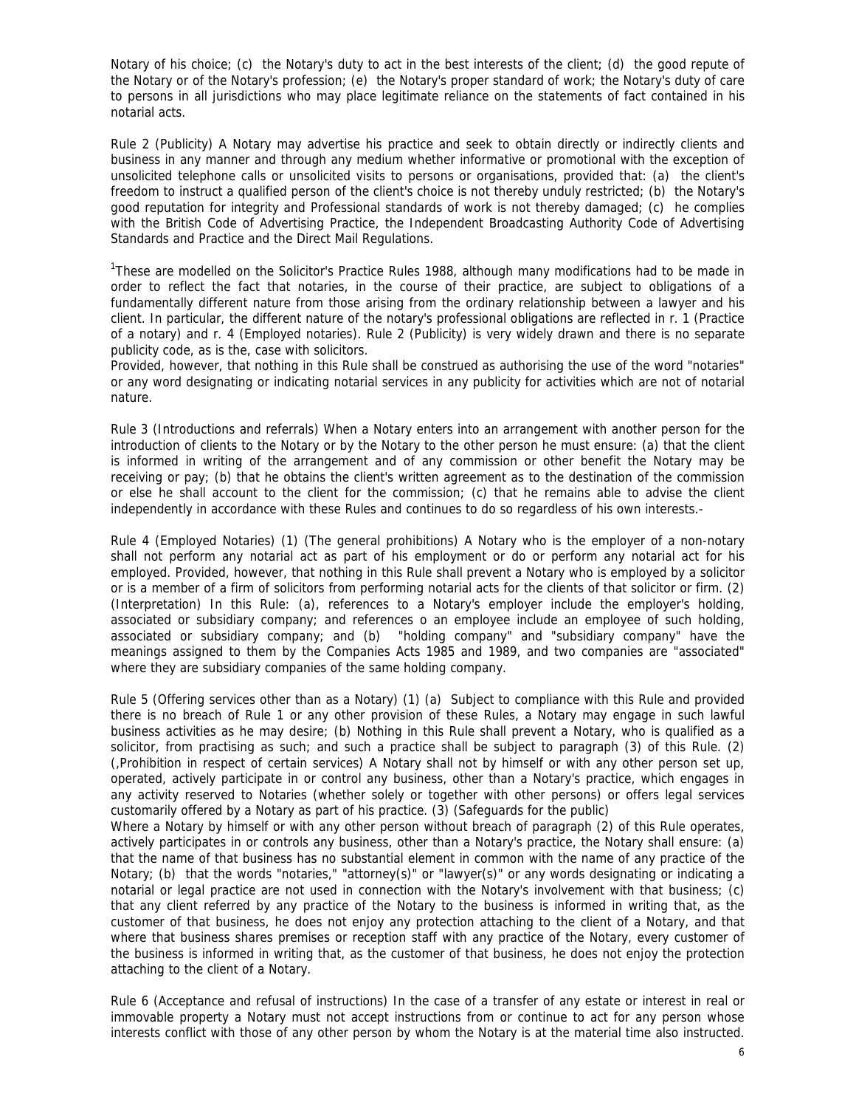Notary of his choice; (c) the Notary's duty to act in the best interests of the client; (d) the good repute of the Notary or of the Notary's profession; (e) the Notary's proper standard of work; the Notary's duty of care to persons in all jurisdictions who may place legitimate reliance on the statements of fact contained in his notarial acts.

Rule 2 (Publicity) A Notary may advertise his practice and seek to obtain directly or indirectly clients and business in any manner and through any medium whether informative or promotional with the exception of unsolicited telephone calls or unsolicited visits to persons or organisations, provided that: (a) the client's freedom to instruct a qualified person of the client's choice is not thereby unduly restricted; (b) the Notary's good reputation for integrity and Professional standards of work is not thereby damaged; (c) he complies with the British Code of Advertising Practice, the Independent Broadcasting Authority Code of Advertising Standards and Practice and the Direct Mail Regulations.

<sup>1</sup>These are modelled on the Solicitor's Practice Rules 1988, although many modifications had to be made in order to reflect the fact that notaries, in the course of their practice, are subject to obligations of a fundamentally different nature from those arising from the ordinary relationship between a lawyer and his client. In particular, the different nature of the notary's professional obligations are reflected in r. 1 (Practice of a notary) and r. 4 (Employed notaries). Rule 2 (Publicity) is very widely drawn and there is no separate publicity code, as is the, case with solicitors.

Provided, however, that nothing in this Rule shall be construed as authorising the use of the word "notaries" or any word designating or indicating notarial services in any publicity for activities which are not of notarial nature.

Rule 3 (Introductions and referrals) When a Notary enters into an arrangement with another person for the introduction of clients to the Notary or by the Notary to the other person he must ensure: (a) that the client is informed in writing of the arrangement and of any commission or other benefit the Notary may be receiving or pay; (b) that he obtains the client's written agreement as to the destination of the commission or else he shall account to the client for the commission; (c) that he remains able to advise the client independently in accordance with these Rules and continues to do so regardless of his own interests.-

Rule 4 (Employed Notaries) (1) (The general prohibitions) A Notary who is the employer of a non-notary shall not perform any notarial act as part of his employment or do or perform any notarial act for his employed. Provided, however, that nothing in this Rule shall prevent a Notary who is employed by a solicitor or is a member of a firm of solicitors from performing notarial acts for the clients of that solicitor or firm. (2) (Interpretation) In this Rule: (a), references to a Notary's employer include the employer's holding, associated or subsidiary company; and references o an employee include an employee of such holding, associated or subsidiary company; and (b) "holding company" and "subsidiary company" have the meanings assigned to them by the Companies Acts 1985 and 1989, and two companies are "associated" where they are subsidiary companies of the same holding company.

Rule 5 (Offering services other than as a Notary) (1) (a) Subject to compliance with this Rule and provided there is no breach of Rule 1 or any other provision of these Rules, a Notary may engage in such lawful business activities as he may desire; (b) Nothing in this Rule shall prevent a Notary, who is qualified as a solicitor, from practising as such; and such a practice shall be subject to paragraph (3) of this Rule. (2) (,Prohibition in respect of certain services) A Notary shall not by himself or with any other person set up, operated, actively participate in or control any business, other than a Notary's practice, which engages in any activity reserved to Notaries (whether solely or together with other persons) or offers legal services customarily offered by a Notary as part of his practice. (3) (Safeguards for the public)

Where a Notary by himself or with any other person without breach of paragraph (2) of this Rule operates, actively participates in or controls any business, other than a Notary's practice, the Notary shall ensure: (a) that the name of that business has no substantial element in common with the name of any practice of the Notary; (b) that the words "notaries," "attorney(s)" or "lawyer(s)" or any words designating or indicating a notarial or legal practice are not used in connection with the Notary's involvement with that business; (c) that any client referred by any practice of the Notary to the business is informed in writing that, as the customer of that business, he does not enjoy any protection attaching to the client of a Notary, and that where that business shares premises or reception staff with any practice of the Notary, every customer of the business is informed in writing that, as the customer of that business, he does not enjoy the protection attaching to the client of a Notary.

Rule 6 (Acceptance and refusal of instructions) In the case of a transfer of any estate or interest in real or immovable property a Notary must not accept instructions from or continue to act for any person whose interests conflict with those of any other person by whom the Notary is at the material time also instructed.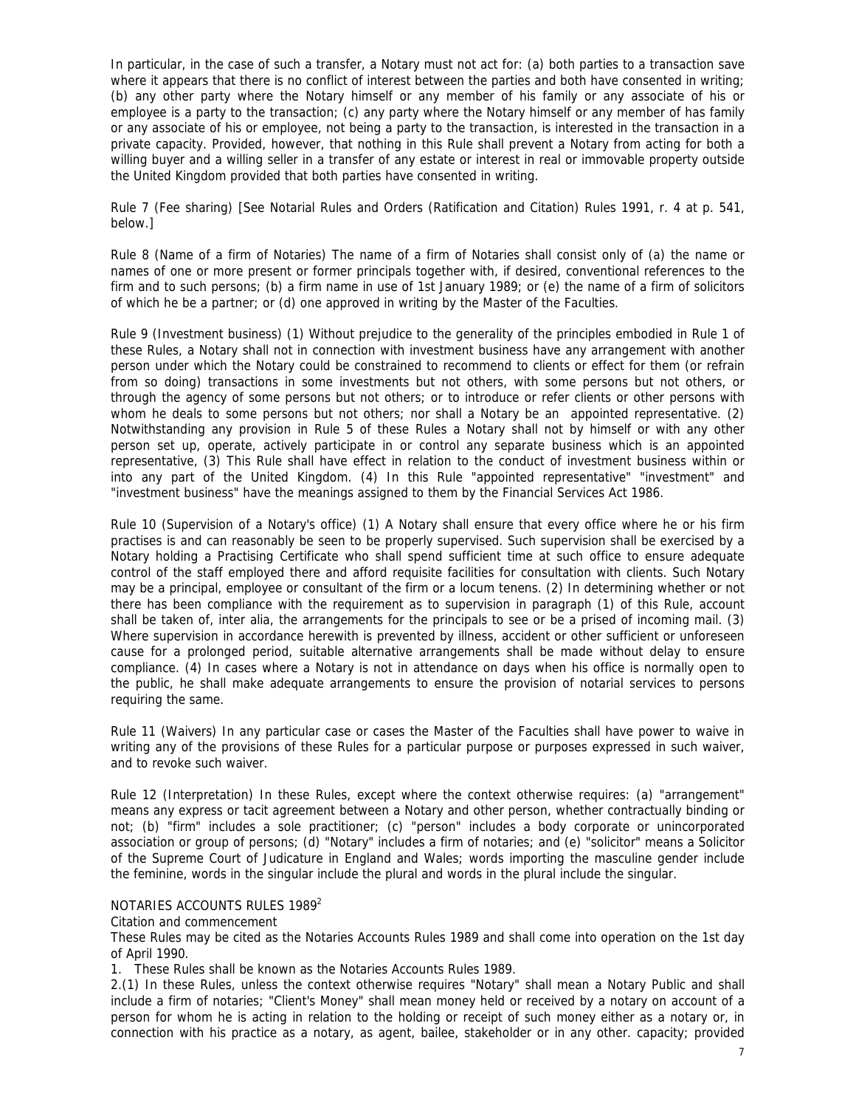In particular, in the case of such a transfer, a Notary must not act for: (a) both parties to a transaction save where it appears that there is no conflict of interest between the parties and both have consented in writing; (b) any other party where the Notary himself or any member of his family or any associate of his or employee is a party to the transaction; (c) any party where the Notary himself or any member of has family or any associate of his or employee, not being a party to the transaction, is interested in the transaction in a private capacity. Provided, however, that nothing in this Rule shall prevent a Notary from acting for both a willing buyer and a willing seller in a transfer of any estate or interest in real or immovable property outside the United Kingdom provided that both parties have consented in writing.

Rule 7 (Fee sharing) [See Notarial Rules and Orders (Ratification and Citation) Rules 1991, r. 4 at p. 541, below.]

Rule 8 (Name of a firm of Notaries) The name of a firm of Notaries shall consist only of (a) the name or names of one or more present or former principals together with, if desired, conventional references to the firm and to such persons; (b) a firm name in use of 1st January 1989; or (e) the name of a firm of solicitors of which he be a partner; or (d) one approved in writing by the Master of the Faculties.

Rule 9 (Investment business) (1) Without prejudice to the generality of the principles embodied in Rule 1 of these Rules, a Notary shall not in connection with investment business have any arrangement with another person under which the Notary could be constrained to recommend to clients or effect for them (or refrain from so doing) transactions in some investments but not others, with some persons but not others, or through the agency of some persons but not others; or to introduce or refer clients or other persons with whom he deals to some persons but not others; nor shall a Notary be an appointed representative. (2) Notwithstanding any provision in Rule 5 of these Rules a Notary shall not by himself or with any other person set up, operate, actively participate in or control any separate business which is an appointed representative, (3) This Rule shall have effect in relation to the conduct of investment business within or into any part of the United Kingdom. (4) In this Rule "appointed representative" "investment" and "investment business" have the meanings assigned to them by the Financial Services Act 1986.

Rule 10 (Supervision of a Notary's office) (1) A Notary shall ensure that every office where he or his firm practises is and can reasonably be seen to be properly supervised. Such supervision shall be exercised by a Notary holding a Practising Certificate who shall spend sufficient time at such office to ensure adequate control of the staff employed there and afford requisite facilities for consultation with clients. Such Notary may be a principal, employee or consultant of the firm or a locum tenens. (2) In determining whether or not there has been compliance with the requirement as to supervision in paragraph (1) of this Rule, account shall be taken of, inter alia, the arrangements for the principals to see or be a prised of incoming mail. (3) Where supervision in accordance herewith is prevented by illness, accident or other sufficient or unforeseen cause for a prolonged period, suitable alternative arrangements shall be made without delay to ensure compliance. (4) In cases where a Notary is not in attendance on days when his office is normally open to the public, he shall make adequate arrangements to ensure the provision of notarial services to persons requiring the same.

Rule 11 (Waivers) In any particular case or cases the Master of the Faculties shall have power to waive in writing any of the provisions of these Rules for a particular purpose or purposes expressed in such waiver, and to revoke such waiver.

Rule 12 (Interpretation) In these Rules, except where the context otherwise requires: (a) "arrangement" means any express or tacit agreement between a Notary and other person, whether contractually binding or not; (b) "firm" includes a sole practitioner; (c) "person" includes a body corporate or unincorporated association or group of persons; (d) "Notary" includes a firm of notaries; and (e) "solicitor" means a Solicitor of the Supreme Court of Judicature in England and Wales; words importing the masculine gender include the feminine, words in the singular include the plural and words in the plural include the singular.

## NOTARIES ACCOUNTS RULES 1989<sup>2</sup>

Citation and commencement

These Rules may be cited as the Notaries Accounts Rules 1989 and shall come into operation on the 1st day of April 1990.

1. These Rules shall be known as the Notaries Accounts Rules 1989.

2.(1) In these Rules, unless the context otherwise requires "Notary" shall mean a Notary Public and shall include a firm of notaries; "Client's Money" shall mean money held or received by a notary on account of a person for whom he is acting in relation to the holding or receipt of such money either as a notary or, in connection with his practice as a notary, as agent, bailee, stakeholder or in any other. capacity; provided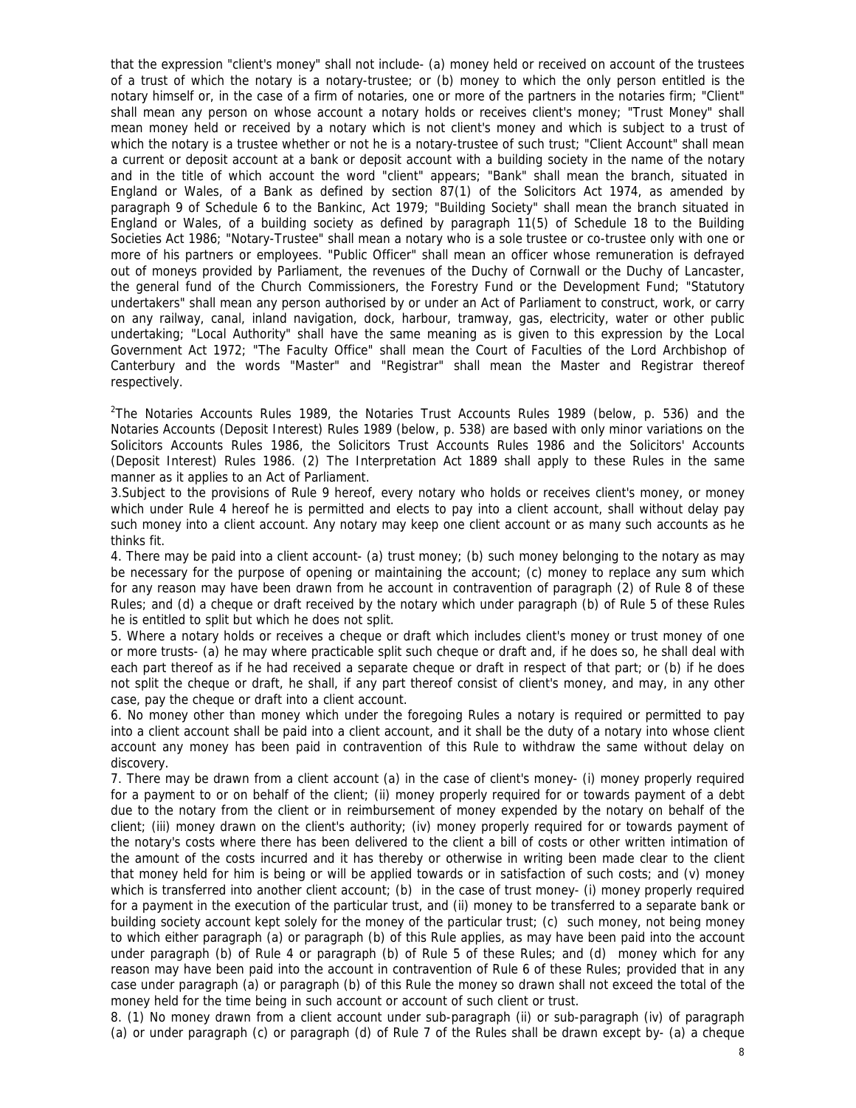that the expression "client's money" shall not include- (a) money held or received on account of the trustees of a trust of which the notary is a notary-trustee; or (b) money to which the only person entitled is the notary himself or, in the case of a firm of notaries, one or more of the partners in the notaries firm; "Client" shall mean any person on whose account a notary holds or receives client's money; "Trust Money" shall mean money held or received by a notary which is not client's money and which is subject to a trust of which the notary is a trustee whether or not he is a notary-trustee of such trust; "Client Account" shall mean a current or deposit account at a bank or deposit account with a building society in the name of the notary and in the title of which account the word "client" appears; "Bank" shall mean the branch, situated in England or Wales, of a Bank as defined by section 87(1) of the Solicitors Act 1974, as amended by paragraph 9 of Schedule 6 to the Bankinc, Act 1979; "Building Society" shall mean the branch situated in England or Wales, of a building society as defined by paragraph 11(5) of Schedule 18 to the Building Societies Act 1986; "Notary-Trustee" shall mean a notary who is a sole trustee or co-trustee only with one or more of his partners or employees. "Public Officer" shall mean an officer whose remuneration is defrayed out of moneys provided by Parliament, the revenues of the Duchy of Cornwall or the Duchy of Lancaster, the general fund of the Church Commissioners, the Forestry Fund or the Development Fund; "Statutory undertakers" shall mean any person authorised by or under an Act of Parliament to construct, work, or carry on any railway, canal, inland navigation, dock, harbour, tramway, gas, electricity, water or other public undertaking; "Local Authority" shall have the same meaning as is given to this expression by the Local Government Act 1972; "The Faculty Office" shall mean the Court of Faculties of the Lord Archbishop of Canterbury and the words "Master" and "Registrar" shall mean the Master and Registrar thereof respectively.

 $2$ The Notaries Accounts Rules 1989, the Notaries Trust Accounts Rules 1989 (below, p. 536) and the Notaries Accounts (Deposit Interest) Rules 1989 (below, p. 538) are based with only minor variations on the Solicitors Accounts Rules 1986, the Solicitors Trust Accounts Rules 1986 and the Solicitors' Accounts (Deposit Interest) Rules 1986. (2) The Interpretation Act 1889 shall apply to these Rules in the same manner as it applies to an Act of Parliament.

3.Subject to the provisions of Rule 9 hereof, every notary who holds or receives client's money, or money which under Rule 4 hereof he is permitted and elects to pay into a client account, shall without delay pay such money into a client account. Any notary may keep one client account or as many such accounts as he thinks fit.

4. There may be paid into a client account- (a) trust money; (b) such money belonging to the notary as may be necessary for the purpose of opening or maintaining the account; (c) money to replace any sum which for any reason may have been drawn from he account in contravention of paragraph (2) of Rule 8 of these Rules; and (d) a cheque or draft received by the notary which under paragraph (b) of Rule 5 of these Rules he is entitled to split but which he does not split.

5. Where a notary holds or receives a cheque or draft which includes client's money or trust money of one or more trusts- (a) he may where practicable split such cheque or draft and, if he does so, he shall deal with each part thereof as if he had received a separate cheque or draft in respect of that part; or (b) if he does not split the cheque or draft, he shall, if any part thereof consist of client's money, and may, in any other case, pay the cheque or draft into a client account.

6. No money other than money which under the foregoing Rules a notary is required or permitted to pay into a client account shall be paid into a client account, and it shall be the duty of a notary into whose client account any money has been paid in contravention of this Rule to withdraw the same without delay on discovery.

7. There may be drawn from a client account (a) in the case of client's money- (i) money properly required for a payment to or on behalf of the client; (ii) money properly required for or towards payment of a debt due to the notary from the client or in reimbursement of money expended by the notary on behalf of the client; (iii) money drawn on the client's authority; (iv) money properly required for or towards payment of the notary's costs where there has been delivered to the client a bill of costs or other written intimation of the amount of the costs incurred and it has thereby or otherwise in writing been made clear to the client that money held for him is being or will be applied towards or in satisfaction of such costs; and (v) money which is transferred into another client account; (b) in the case of trust money- (i) money properly required for a payment in the execution of the particular trust, and (ii) money to be transferred to a separate bank or building society account kept solely for the money of the particular trust; (c) such money, not being money to which either paragraph (a) or paragraph (b) of this Rule applies, as may have been paid into the account under paragraph (b) of Rule 4 or paragraph (b) of Rule 5 of these Rules; and (d) money which for any reason may have been paid into the account in contravention of Rule 6 of these Rules; provided that in any case under paragraph (a) or paragraph (b) of this Rule the money so drawn shall not exceed the total of the money held for the time being in such account or account of such client or trust.

8. (1) No money drawn from a client account under sub-paragraph (ii) or sub-paragraph (iv) of paragraph (a) or under paragraph (c) or paragraph (d) of Rule 7 of the Rules shall be drawn except by- (a) a cheque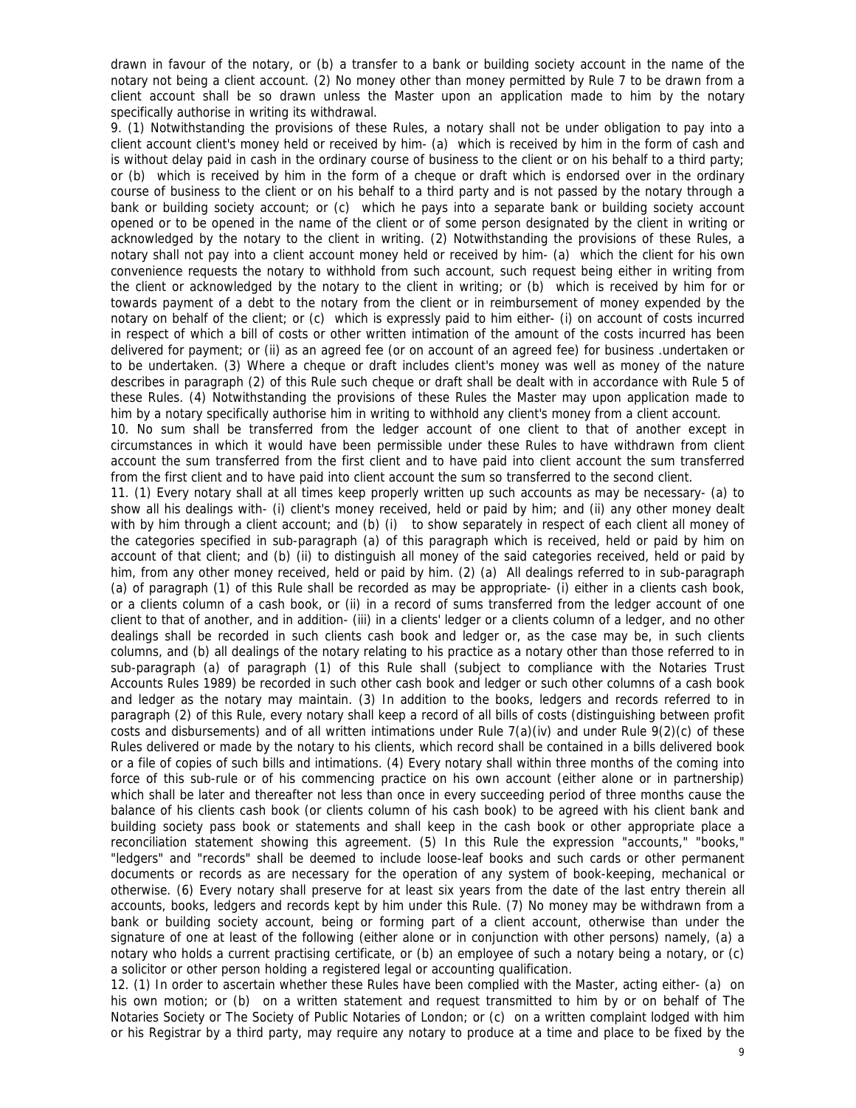drawn in favour of the notary, or (b) a transfer to a bank or building society account in the name of the notary not being a client account. (2) No money other than money permitted by Rule 7 to be drawn from a client account shall be so drawn unless the Master upon an application made to him by the notary specifically authorise in writing its withdrawal.

9. (1) Notwithstanding the provisions of these Rules, a notary shall not be under obligation to pay into a client account client's money held or received by him- (a) which is received by him in the form of cash and is without delay paid in cash in the ordinary course of business to the client or on his behalf to a third party; or (b) which is received by him in the form of a cheque or draft which is endorsed over in the ordinary course of business to the client or on his behalf to a third party and is not passed by the notary through a bank or building society account; or (c) which he pays into a separate bank or building society account opened or to be opened in the name of the client or of some person designated by the client in writing or acknowledged by the notary to the client in writing. (2) Notwithstanding the provisions of these Rules, a notary shall not pay into a client account money held or received by him- (a) which the client for his own convenience requests the notary to withhold from such account, such request being either in writing from the client or acknowledged by the notary to the client in writing; or (b) which is received by him for or towards payment of a debt to the notary from the client or in reimbursement of money expended by the notary on behalf of the client; or (c) which is expressly paid to him either- (i) on account of costs incurred in respect of which a bill of costs or other written intimation of the amount of the costs incurred has been delivered for payment; or (ii) as an agreed fee (or on account of an agreed fee) for business .undertaken or to be undertaken. (3) Where a cheque or draft includes client's money was well as money of the nature describes in paragraph (2) of this Rule such cheque or draft shall be dealt with in accordance with Rule 5 of these Rules. (4) Notwithstanding the provisions of these Rules the Master may upon application made to him by a notary specifically authorise him in writing to withhold any client's money from a client account.

10. No sum shall be transferred from the ledger account of one client to that of another except in circumstances in which it would have been permissible under these Rules to have withdrawn from client account the sum transferred from the first client and to have paid into client account the sum transferred from the first client and to have paid into client account the sum so transferred to the second client.

11. (1) Every notary shall at all times keep properly written up such accounts as may be necessary- (a) to show all his dealings with- (i) client's money received, held or paid by him; and (ii) any other money dealt with by him through a client account; and (b) (i) to show separately in respect of each client all money of the categories specified in sub-paragraph (a) of this paragraph which is received, held or paid by him on account of that client; and (b) (ii) to distinguish all money of the said categories received, held or paid by him, from any other money received, held or paid by him. (2) (a) All dealings referred to in sub-paragraph (a) of paragraph (1) of this Rule shall be recorded as may be appropriate- (i) either in a clients cash book, or a clients column of a cash book, or (ii) in a record of sums transferred from the ledger account of one client to that of another, and in addition- (iii) in a clients' ledger or a clients column of a ledger, and no other dealings shall be recorded in such clients cash book and ledger or, as the case may be, in such clients columns, and (b) all dealings of the notary relating to his practice as a notary other than those referred to in sub-paragraph (a) of paragraph (1) of this Rule shall (subject to compliance with the Notaries Trust Accounts Rules 1989) be recorded in such other cash book and ledger or such other columns of a cash book and ledger as the notary may maintain. (3) In addition to the books, ledgers and records referred to in paragraph (2) of this Rule, every notary shall keep a record of all bills of costs (distinguishing between profit costs and disbursements) and of all written intimations under Rule  $7(a)(iv)$  and under Rule  $9(2)(c)$  of these Rules delivered or made by the notary to his clients, which record shall be contained in a bills delivered book or a file of copies of such bills and intimations. (4) Every notary shall within three months of the coming into force of this sub-rule or of his commencing practice on his own account (either alone or in partnership) which shall be later and thereafter not less than once in every succeeding period of three months cause the balance of his clients cash book (or clients column of his cash book) to be agreed with his client bank and building society pass book or statements and shall keep in the cash book or other appropriate place a reconciliation statement showing this agreement. (5) In this Rule the expression "accounts," "books," "ledgers" and "records" shall be deemed to include loose-leaf books and such cards or other permanent documents or records as are necessary for the operation of any system of book-keeping, mechanical or otherwise. (6) Every notary shall preserve for at least six years from the date of the last entry therein all accounts, books, ledgers and records kept by him under this Rule. (7) No money may be withdrawn from a bank or building society account, being or forming part of a client account, otherwise than under the signature of one at least of the following (either alone or in conjunction with other persons) namely, (a) a notary who holds a current practising certificate, or (b) an employee of such a notary being a notary, or (c) a solicitor or other person holding a registered legal or accounting qualification.

12. (1) In order to ascertain whether these Rules have been complied with the Master, acting either- (a) on his own motion; or (b) on a written statement and request transmitted to him by or on behalf of The Notaries Society or The Society of Public Notaries of London; or (c) on a written complaint lodged with him or his Registrar by a third party, may require any notary to produce at a time and place to be fixed by the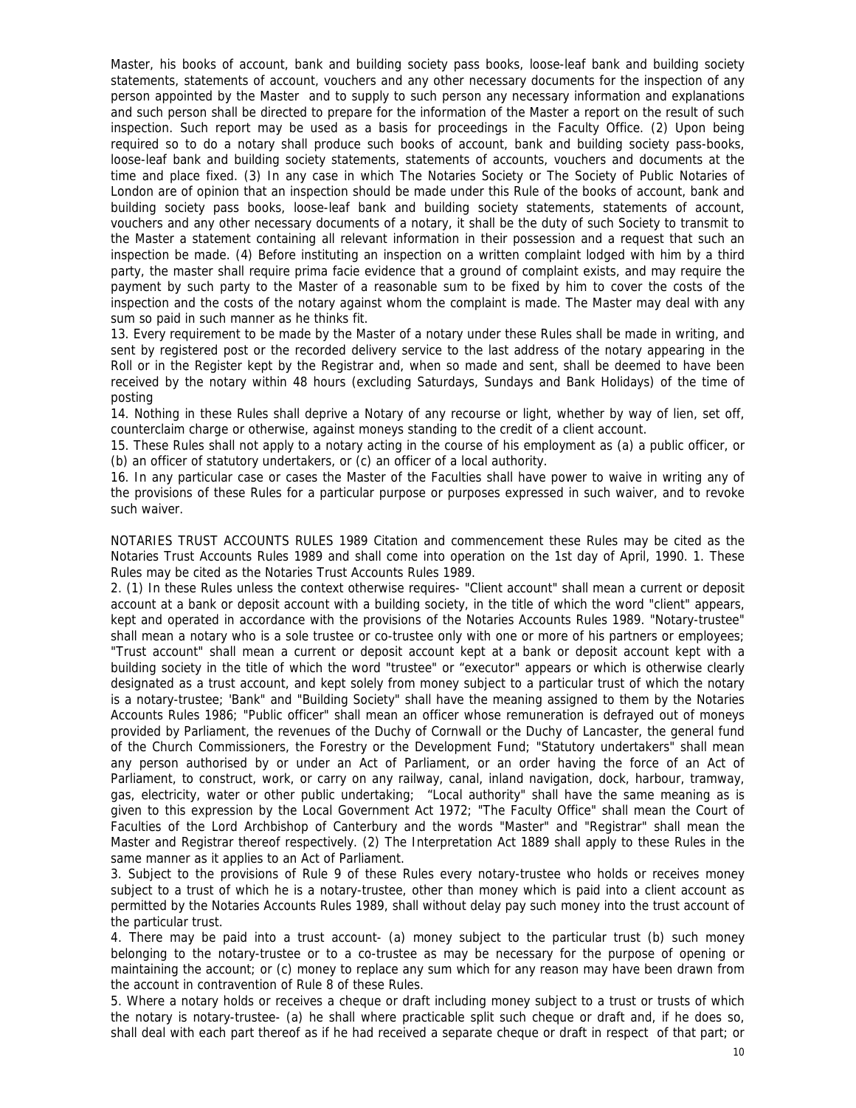Master, his books of account, bank and building society pass books, loose-leaf bank and building society statements, statements of account, vouchers and any other necessary documents for the inspection of any person appointed by the Master and to supply to such person any necessary information and explanations and such person shall be directed to prepare for the information of the Master a report on the result of such inspection. Such report may be used as a basis for proceedings in the Faculty Office. (2) Upon being required so to do a notary shall produce such books of account, bank and building society pass-books, loose-leaf bank and building society statements, statements of accounts, vouchers and documents at the time and place fixed. (3) In any case in which The Notaries Society or The Society of Public Notaries of London are of opinion that an inspection should be made under this Rule of the books of account, bank and building society pass books, loose-leaf bank and building society statements, statements of account, vouchers and any other necessary documents of a notary, it shall be the duty of such Society to transmit to the Master a statement containing all relevant information in their possession and a request that such an inspection be made. (4) Before instituting an inspection on a written complaint lodged with him by a third party, the master shall require prima facie evidence that a ground of complaint exists, and may require the payment by such party to the Master of a reasonable sum to be fixed by him to cover the costs of the inspection and the costs of the notary against whom the complaint is made. The Master may deal with any sum so paid in such manner as he thinks fit.

13. Every requirement to be made by the Master of a notary under these Rules shall be made in writing, and sent by registered post or the recorded delivery service to the last address of the notary appearing in the Roll or in the Register kept by the Registrar and, when so made and sent, shall be deemed to have been received by the notary within 48 hours (excluding Saturdays, Sundays and Bank Holidays) of the time of posting

14. Nothing in these Rules shall deprive a Notary of any recourse or light, whether by way of lien, set off, counterclaim charge or otherwise, against moneys standing to the credit of a client account.

15. These Rules shall not apply to a notary acting in the course of his employment as (a) a public officer, or (b) an officer of statutory undertakers, or (c) an officer of a local authority.

16. In any particular case or cases the Master of the Faculties shall have power to waive in writing any of the provisions of these Rules for a particular purpose or purposes expressed in such waiver, and to revoke such waiver.

NOTARIES TRUST ACCOUNTS RULES 1989 Citation and commencement these Rules may be cited as the Notaries Trust Accounts Rules 1989 and shall come into operation on the 1st day of April, 1990. 1. These Rules may be cited as the Notaries Trust Accounts Rules 1989.

2. (1) In these Rules unless the context otherwise requires- "Client account" shall mean a current or deposit account at a bank or deposit account with a building society, in the title of which the word "client" appears, kept and operated in accordance with the provisions of the Notaries Accounts Rules 1989. "Notary-trustee" shall mean a notary who is a sole trustee or co-trustee only with one or more of his partners or employees; "Trust account" shall mean a current or deposit account kept at a bank or deposit account kept with a building society in the title of which the word "trustee" or "executor" appears or which is otherwise clearly designated as a trust account, and kept solely from money subject to a particular trust of which the notary is a notary-trustee; 'Bank" and "Building Society" shall have the meaning assigned to them by the Notaries Accounts Rules 1986; "Public officer" shall mean an officer whose remuneration is defrayed out of moneys provided by Parliament, the revenues of the Duchy of Cornwall or the Duchy of Lancaster, the general fund of the Church Commissioners, the Forestry or the Development Fund; "Statutory undertakers" shall mean any person authorised by or under an Act of Parliament, or an order having the force of an Act of Parliament, to construct, work, or carry on any railway, canal, inland navigation, dock, harbour, tramway, gas, electricity, water or other public undertaking; "Local authority" shall have the same meaning as is given to this expression by the Local Government Act 1972; "The Faculty Office" shall mean the Court of Faculties of the Lord Archbishop of Canterbury and the words "Master" and "Registrar" shall mean the Master and Registrar thereof respectively. (2) The Interpretation Act 1889 shall apply to these Rules in the same manner as it applies to an Act of Parliament.

3. Subject to the provisions of Rule 9 of these Rules every notary-trustee who holds or receives money subject to a trust of which he is a notary-trustee, other than money which is paid into a client account as permitted by the Notaries Accounts Rules 1989, shall without delay pay such money into the trust account of the particular trust.

4. There may be paid into a trust account- (a) money subject to the particular trust (b) such money belonging to the notary-trustee or to a co-trustee as may be necessary for the purpose of opening or maintaining the account; or (c) money to replace any sum which for any reason may have been drawn from the account in contravention of Rule 8 of these Rules.

5. Where a notary holds or receives a cheque or draft including money subject to a trust or trusts of which the notary is notary-trustee- (a) he shall where practicable split such cheque or draft and, if he does so, shall deal with each part thereof as if he had received a separate cheque or draft in respect of that part; or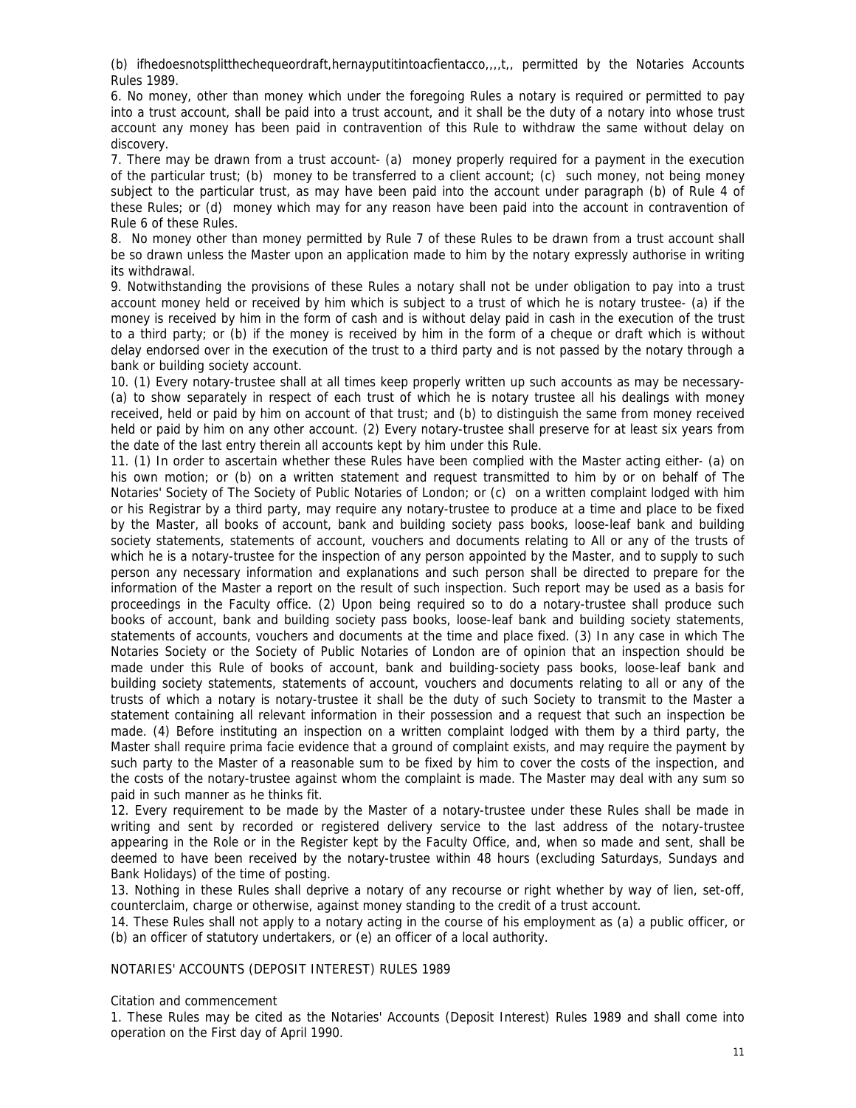(b) ifhedoesnotsplitthechequeordraft,hernayputitintoacfientacco,,,,t,, permitted by the Notaries Accounts Rules 1989.

6. No money, other than money which under the foregoing Rules a notary is required or permitted to pay into a trust account, shall be paid into a trust account, and it shall be the duty of a notary into whose trust account any money has been paid in contravention of this Rule to withdraw the same without delay on discovery.

7. There may be drawn from a trust account- (a) money properly required for a payment in the execution of the particular trust; (b) money to be transferred to a client account; (c) such money, not being money subject to the particular trust, as may have been paid into the account under paragraph (b) of Rule 4 of these Rules; or (d) money which may for any reason have been paid into the account in contravention of Rule 6 of these Rules.

8. No money other than money permitted by Rule 7 of these Rules to be drawn from a trust account shall be so drawn unless the Master upon an application made to him by the notary expressly authorise in writing its withdrawal.

9. Notwithstanding the provisions of these Rules a notary shall not be under obligation to pay into a trust account money held or received by him which is subject to a trust of which he is notary trustee- (a) if the money is received by him in the form of cash and is without delay paid in cash in the execution of the trust to a third party; or (b) if the money is received by him in the form of a cheque or draft which is without delay endorsed over in the execution of the trust to a third party and is not passed by the notary through a bank or building society account.

10. (1) Every notary-trustee shall at all times keep properly written up such accounts as may be necessary- (a) to show separately in respect of each trust of which he is notary trustee all his dealings with money received, held or paid by him on account of that trust; and (b) to distinguish the same from money received held or paid by him on any other account. (2) Every notary-trustee shall preserve for at least six years from the date of the last entry therein all accounts kept by him under this Rule.

11. (1) In order to ascertain whether these Rules have been complied with the Master acting either- (a) on his own motion; or (b) on a written statement and request transmitted to him by or on behalf of The Notaries' Society of The Society of Public Notaries of London; or (c) on a written complaint lodged with him or his Registrar by a third party, may require any notary-trustee to produce at a time and place to be fixed by the Master, all books of account, bank and building society pass books, loose-leaf bank and building society statements, statements of account, vouchers and documents relating to All or any of the trusts of which he is a notary-trustee for the inspection of any person appointed by the Master, and to supply to such person any necessary information and explanations and such person shall be directed to prepare for the information of the Master a report on the result of such inspection. Such report may be used as a basis for proceedings in the Faculty office. (2) Upon being required so to do a notary-trustee shall produce such books of account, bank and building society pass books, loose-leaf bank and building society statements, statements of accounts, vouchers and documents at the time and place fixed. (3) In any case in which The Notaries Society or the Society of Public Notaries of London are of opinion that an inspection should be made under this Rule of books of account, bank and building-society pass books, loose-leaf bank and building society statements, statements of account, vouchers and documents relating to all or any of the trusts of which a notary is notary-trustee it shall be the duty of such Society to transmit to the Master a statement containing all relevant information in their possession and a request that such an inspection be made. (4) Before instituting an inspection on a written complaint lodged with them by a third party, the Master shall require prima facie evidence that a ground of complaint exists, and may require the payment by such party to the Master of a reasonable sum to be fixed by him to cover the costs of the inspection, and the costs of the notary-trustee against whom the complaint is made. The Master may deal with any sum so paid in such manner as he thinks fit.

12. Every requirement to be made by the Master of a notary-trustee under these Rules shall be made in writing and sent by recorded or registered delivery service to the last address of the notary-trustee appearing in the Role or in the Register kept by the Faculty Office, and, when so made and sent, shall be deemed to have been received by the notary-trustee within 48 hours (excluding Saturdays, Sundays and Bank Holidays) of the time of posting.

13. Nothing in these Rules shall deprive a notary of any recourse or right whether by way of lien, set-off, counterclaim, charge or otherwise, against money standing to the credit of a trust account.

14. These Rules shall not apply to a notary acting in the course of his employment as (a) a public officer, or (b) an officer of statutory undertakers, or (e) an officer of a local authority.

NOTARIES' ACCOUNTS (DEPOSIT INTEREST) RULES 1989

Citation and commencement

1. These Rules may be cited as the Notaries' Accounts (Deposit Interest) Rules 1989 and shall come into operation on the First day of April 1990.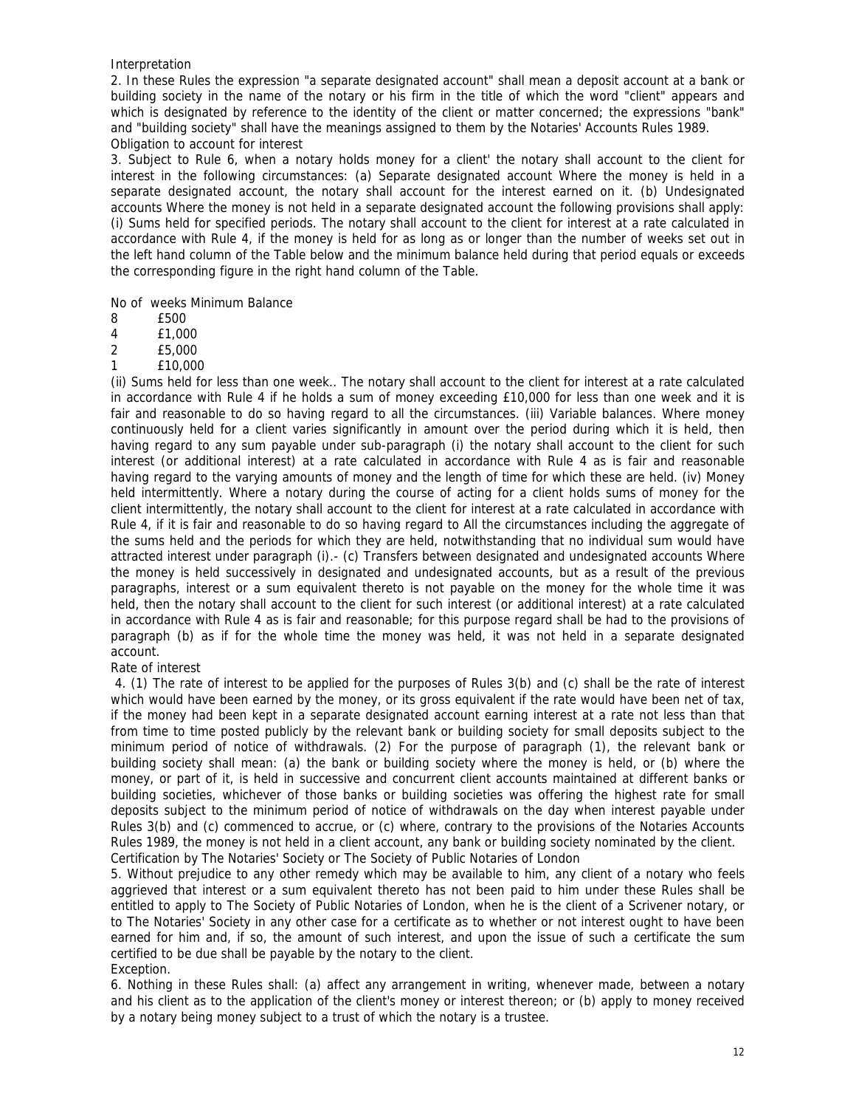Interpretation

2. In these Rules the expression "a separate designated account" shall mean a deposit account at a bank or building society in the name of the notary or his firm in the title of which the word "client" appears and which is designated by reference to the identity of the client or matter concerned; the expressions "bank" and "building society" shall have the meanings assigned to them by the Notaries' Accounts Rules 1989. Obligation to account for interest

3. Subject to Rule 6, when a notary holds money for a client' the notary shall account to the client for interest in the following circumstances: (a) Separate designated account Where the money is held in a separate designated account, the notary shall account for the interest earned on it. (b) Undesignated accounts Where the money is not held in a separate designated account the following provisions shall apply: (i) Sums held for specified periods. The notary shall account to the client for interest at a rate calculated in accordance with Rule 4, if the money is held for as long as or longer than the number of weeks set out in the left hand column of the Table below and the minimum balance held during that period equals or exceeds the corresponding figure in the right hand column of the Table.

No of weeks Minimum Balance

- 8 £500
- 4 £1,000
- 2 £5,000
- 1 £10,000

(ii) Sums held for less than one week.. The notary shall account to the client for interest at a rate calculated in accordance with Rule 4 if he holds a sum of money exceeding £10,000 for less than one week and it is fair and reasonable to do so having regard to all the circumstances. (iii) Variable balances. Where money continuously held for a client varies significantly in amount over the period during which it is held, then having regard to any sum payable under sub-paragraph (i) the notary shall account to the client for such interest (or additional interest) at a rate calculated in accordance with Rule 4 as is fair and reasonable having regard to the varying amounts of money and the length of time for which these are held. (iv) Money held intermittently. Where a notary during the course of acting for a client holds sums of money for the client intermittently, the notary shall account to the client for interest at a rate calculated in accordance with Rule 4, if it is fair and reasonable to do so having regard to All the circumstances including the aggregate of the sums held and the periods for which they are held, notwithstanding that no individual sum would have attracted interest under paragraph (i).- (c) Transfers between designated and undesignated accounts Where the money is held successively in designated and undesignated accounts, but as a result of the previous paragraphs, interest or a sum equivalent thereto is not payable on the money for the whole time it was held, then the notary shall account to the client for such interest (or additional interest) at a rate calculated in accordance with Rule 4 as is fair and reasonable; for this purpose regard shall be had to the provisions of paragraph (b) as if for the whole time the money was held, it was not held in a separate designated account.

## Rate of interest

 4. (1) The rate of interest to be applied for the purposes of Rules 3(b) and (c) shall be the rate of interest which would have been earned by the money, or its gross equivalent if the rate would have been net of tax, if the money had been kept in a separate designated account earning interest at a rate not less than that from time to time posted publicly by the relevant bank or building society for small deposits subject to the minimum period of notice of withdrawals. (2) For the purpose of paragraph (1), the relevant bank or building society shall mean: (a) the bank or building society where the money is held, or (b) where the money, or part of it, is held in successive and concurrent client accounts maintained at different banks or building societies, whichever of those banks or building societies was offering the highest rate for small deposits subject to the minimum period of notice of withdrawals on the day when interest payable under Rules 3(b) and (c) commenced to accrue, or (c) where, contrary to the provisions of the Notaries Accounts Rules 1989, the money is not held in a client account, any bank or building society nominated by the client. Certification by The Notaries' Society or The Society of Public Notaries of London

5. Without prejudice to any other remedy which may be available to him, any client of a notary who feels aggrieved that interest or a sum equivalent thereto has not been paid to him under these Rules shall be entitled to apply to The Society of Public Notaries of London, when he is the client of a Scrivener notary, or to The Notaries' Society in any other case for a certificate as to whether or not interest ought to have been earned for him and, if so, the amount of such interest, and upon the issue of such a certificate the sum certified to be due shall be payable by the notary to the client. Exception.

6. Nothing in these Rules shall: (a) affect any arrangement in writing, whenever made, between a notary and his client as to the application of the client's money or interest thereon; or (b) apply to money received by a notary being money subject to a trust of which the notary is a trustee.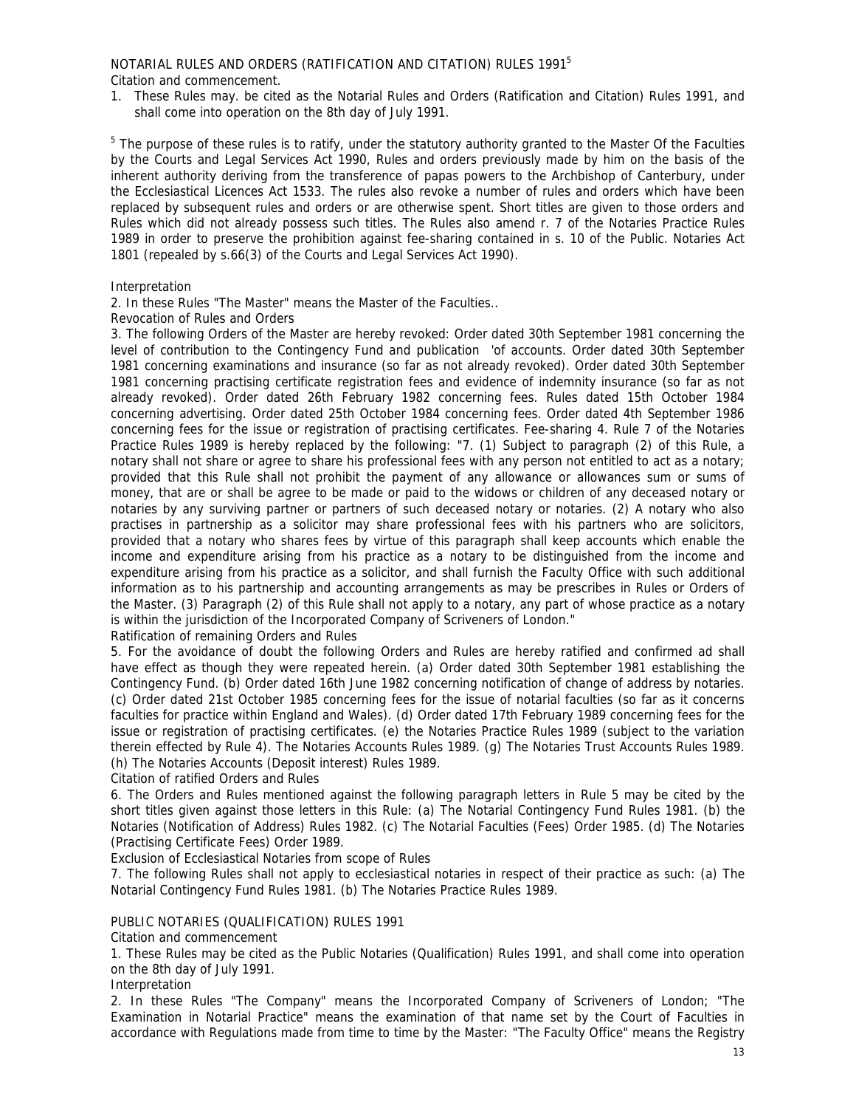NOTARIAL RULES AND ORDERS (RATIFICATION AND CITATION) RULES 19915

Citation and commencement.

1. These Rules may. be cited as the Notarial Rules and Orders (Ratification and Citation) Rules 1991, and shall come into operation on the 8th day of July 1991.

<sup>5</sup> The purpose of these rules is to ratify, under the statutory authority granted to the Master Of the Faculties by the Courts and Legal Services Act 1990, Rules and orders previously made by him on the basis of the inherent authority deriving from the transference of papas powers to the Archbishop of Canterbury, under the Ecclesiastical Licences Act 1533. The rules also revoke a number of rules and orders which have been replaced by subsequent rules and orders or are otherwise spent. Short titles are given to those orders and Rules which did not already possess such titles. The Rules also amend r. 7 of the Notaries Practice Rules 1989 in order to preserve the prohibition against fee-sharing contained in s. 10 of the Public. Notaries Act 1801 (repealed by s.66(3) of the Courts and Legal Services Act 1990).

# Interpretation

2. In these Rules "The Master" means the Master of the Faculties..

Revocation of Rules and Orders

3. The following Orders of the Master are hereby revoked: Order dated 30th September 1981 concerning the level of contribution to the Contingency Fund and publication 'of accounts. Order dated 30th September 1981 concerning examinations and insurance (so far as not already revoked). Order dated 30th September 1981 concerning practising certificate registration fees and evidence of indemnity insurance (so far as not already revoked). Order dated 26th February 1982 concerning fees. Rules dated 15th October 1984 concerning advertising. Order dated 25th October 1984 concerning fees. Order dated 4th September 1986 concerning fees for the issue or registration of practising certificates. Fee-sharing 4. Rule 7 of the Notaries Practice Rules 1989 is hereby replaced by the following: "7. (1) Subject to paragraph (2) of this Rule, a notary shall not share or agree to share his professional fees with any person not entitled to act as a notary; provided that this Rule shall not prohibit the payment of any allowance or allowances sum or sums of money, that are or shall be agree to be made or paid to the widows or children of any deceased notary or notaries by any surviving partner or partners of such deceased notary or notaries. (2) A notary who also practises in partnership as a solicitor may share professional fees with his partners who are solicitors, provided that a notary who shares fees by virtue of this paragraph shall keep accounts which enable the income and expenditure arising from his practice as a notary to be distinguished from the income and expenditure arising from his practice as a solicitor, and shall furnish the Faculty Office with such additional information as to his partnership and accounting arrangements as may be prescribes in Rules or Orders of the Master. (3) Paragraph (2) of this Rule shall not apply to a notary, any part of whose practice as a notary is within the jurisdiction of the Incorporated Company of Scriveners of London."

Ratification of remaining Orders and Rules

5. For the avoidance of doubt the following Orders and Rules are hereby ratified and confirmed ad shall have effect as though they were repeated herein. (a) Order dated 30th September 1981 establishing the Contingency Fund. (b) Order dated 16th June 1982 concerning notification of change of address by notaries. (c) Order dated 21st October 1985 concerning fees for the issue of notarial faculties (so far as it concerns faculties for practice within England and Wales). (d) Order dated 17th February 1989 concerning fees for the issue or registration of practising certificates. (e) the Notaries Practice Rules 1989 (subject to the variation therein effected by Rule 4). The Notaries Accounts Rules 1989. (g) The Notaries Trust Accounts Rules 1989. (h) The Notaries Accounts (Deposit interest) Rules 1989.

Citation of ratified Orders and Rules

6. The Orders and Rules mentioned against the following paragraph letters in Rule 5 may be cited by the short titles given against those letters in this Rule: (a) The Notarial Contingency Fund Rules 1981. (b) the Notaries (Notification of Address) Rules 1982. (c) The Notarial Faculties (Fees) Order 1985. (d) The Notaries (Practising Certificate Fees) Order 1989.

Exclusion of Ecclesiastical Notaries from scope of Rules

7. The following Rules shall not apply to ecclesiastical notaries in respect of their practice as such: (a) The Notarial Contingency Fund Rules 1981. (b) The Notaries Practice Rules 1989.

# PUBLIC NOTARIES (QUALIFICATION) RULES 1991

Citation and commencement

1. These Rules may be cited as the Public Notaries (Qualification) Rules 1991, and shall come into operation on the 8th day of July 1991.

Interpretation

2. In these Rules "The Company" means the Incorporated Company of Scriveners of London; "The Examination in Notarial Practice" means the examination of that name set by the Court of Faculties in accordance with Regulations made from time to time by the Master: "The Faculty Office" means the Registry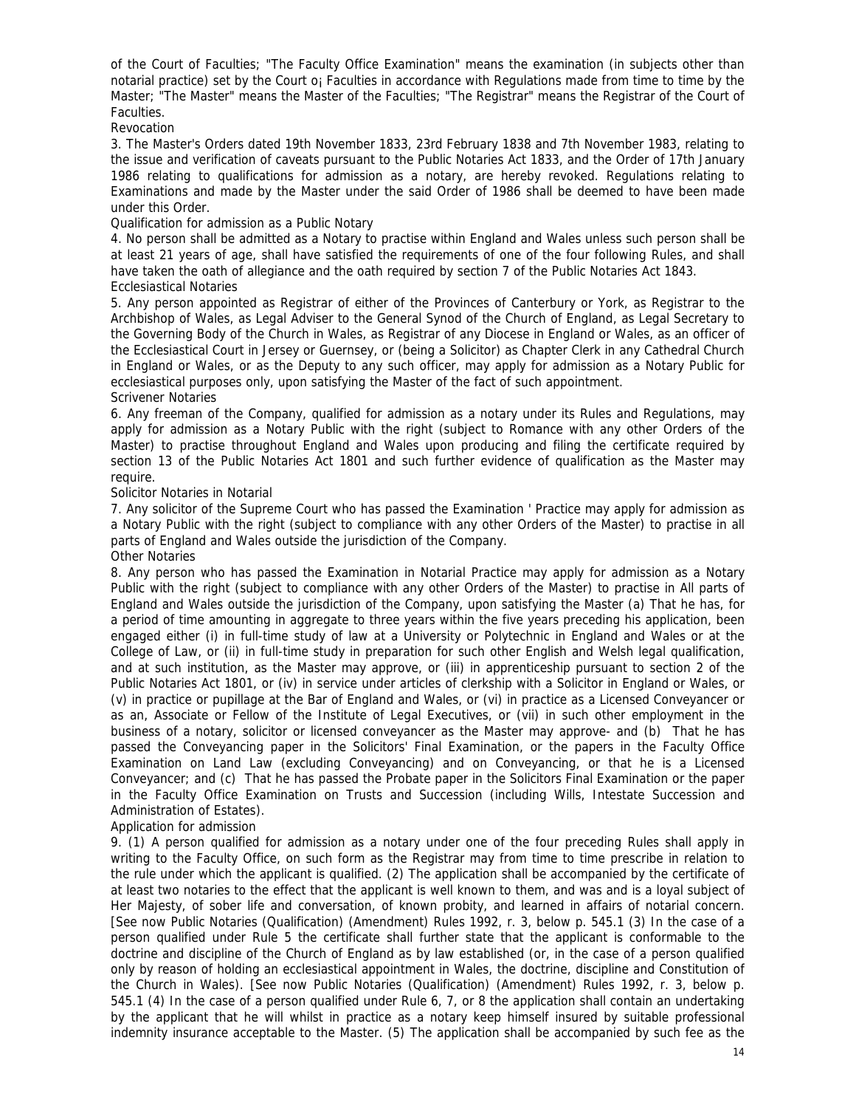of the Court of Faculties; "The Faculty Office Examination" means the examination (in subjects other than notarial practice) set by the Court o¡ Faculties in accordance with Regulations made from time to time by the Master; "The Master" means the Master of the Faculties; "The Registrar" means the Registrar of the Court of Faculties.

Revocation

3. The Master's Orders dated 19th November 1833, 23rd February 1838 and 7th November 1983, relating to the issue and verification of caveats pursuant to the Public Notaries Act 1833, and the Order of 17th January 1986 relating to qualifications for admission as a notary, are hereby revoked. Regulations relating to Examinations and made by the Master under the said Order of 1986 shall be deemed to have been made under this Order.

Qualification for admission as a Public Notary

4. No person shall be admitted as a Notary to practise within England and Wales unless such person shall be at least 21 years of age, shall have satisfied the requirements of one of the four following Rules, and shall have taken the oath of allegiance and the oath required by section 7 of the Public Notaries Act 1843. Ecclesiastical Notaries

5. Any person appointed as Registrar of either of the Provinces of Canterbury or York, as Registrar to the Archbishop of Wales, as Legal Adviser to the General Synod of the Church of England, as Legal Secretary to the Governing Body of the Church in Wales, as Registrar of any Diocese in England or Wales, as an officer of the Ecclesiastical Court in Jersey or Guernsey, or (being a Solicitor) as Chapter Clerk in any Cathedral Church in England or Wales, or as the Deputy to any such officer, may apply for admission as a Notary Public for ecclesiastical purposes only, upon satisfying the Master of the fact of such appointment.

Scrivener Notaries

6. Any freeman of the Company, qualified for admission as a notary under its Rules and Regulations, may apply for admission as a Notary Public with the right (subject to Romance with any other Orders of the Master) to practise throughout England and Wales upon producing and filing the certificate required by section 13 of the Public Notaries Act 1801 and such further evidence of qualification as the Master may require.

# Solicitor Notaries in Notarial

7. Any solicitor of the Supreme Court who has passed the Examination ' Practice may apply for admission as a Notary Public with the right (subject to compliance with any other Orders of the Master) to practise in all parts of England and Wales outside the jurisdiction of the Company.

# Other Notaries

8. Any person who has passed the Examination in Notarial Practice may apply for admission as a Notary Public with the right (subject to compliance with any other Orders of the Master) to practise in All parts of England and Wales outside the jurisdiction of the Company, upon satisfying the Master (a) That he has, for a period of time amounting in aggregate to three years within the five years preceding his application, been engaged either (i) in full-time study of law at a University or Polytechnic in England and Wales or at the College of Law, or (ii) in full-time study in preparation for such other English and Welsh legal qualification, and at such institution, as the Master may approve, or (iii) in apprenticeship pursuant to section 2 of the Public Notaries Act 1801, or (iv) in service under articles of clerkship with a Solicitor in England or Wales, or (v) in practice or pupillage at the Bar of England and Wales, or (vi) in practice as a Licensed Conveyancer or as an, Associate or Fellow of the Institute of Legal Executives, or (vii) in such other employment in the business of a notary, solicitor or licensed conveyancer as the Master may approve- and (b) That he has passed the Conveyancing paper in the Solicitors' Final Examination, or the papers in the Faculty Office Examination on Land Law (excluding Conveyancing) and on Conveyancing, or that he is a Licensed Conveyancer; and (c) That he has passed the Probate paper in the Solicitors Final Examination or the paper in the Faculty Office Examination on Trusts and Succession (including Wills, Intestate Succession and Administration of Estates).

Application for admission

9. (1) A person qualified for admission as a notary under one of the four preceding Rules shall apply in writing to the Faculty Office, on such form as the Registrar may from time to time prescribe in relation to the rule under which the applicant is qualified. (2) The application shall be accompanied by the certificate of at least two notaries to the effect that the applicant is well known to them, and was and is a loyal subject of Her Majesty, of sober life and conversation, of known probity, and learned in affairs of notarial concern. [See now Public Notaries (Qualification) (Amendment) Rules 1992, r. 3, below p. 545.1 (3) In the case of a person qualified under Rule 5 the certificate shall further state that the applicant is conformable to the doctrine and discipline of the Church of England as by law established (or, in the case of a person qualified only by reason of holding an ecclesiastical appointment in Wales, the doctrine, discipline and Constitution of the Church in Wales). [See now Public Notaries (Qualification) (Amendment) Rules 1992, r. 3, below p. 545.1 (4) In the case of a person qualified under Rule 6, 7, or 8 the application shall contain an undertaking by the applicant that he will whilst in practice as a notary keep himself insured by suitable professional indemnity insurance acceptable to the Master. (5) The application shall be accompanied by such fee as the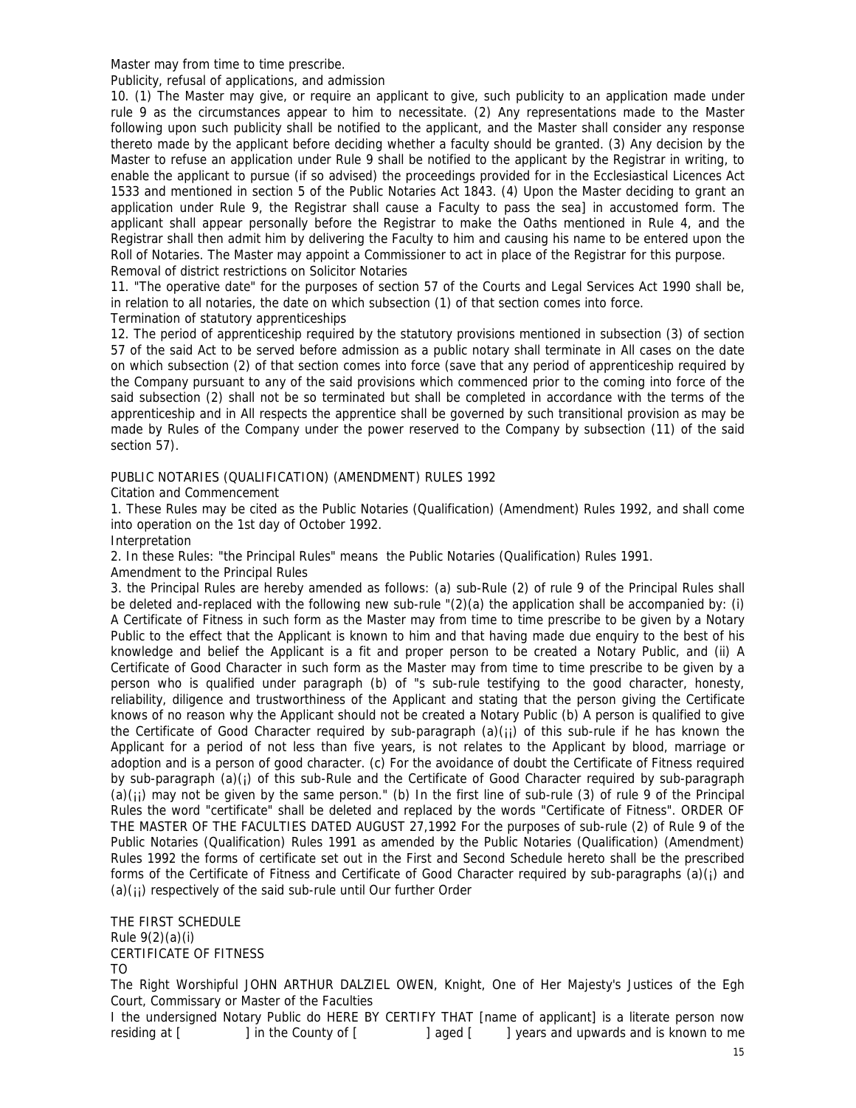Master may from time to time prescribe.

Publicity, refusal of applications, and admission

10. (1) The Master may give, or require an applicant to give, such publicity to an application made under rule 9 as the circumstances appear to him to necessitate. (2) Any representations made to the Master following upon such publicity shall be notified to the applicant, and the Master shall consider any response thereto made by the applicant before deciding whether a faculty should be granted. (3) Any decision by the Master to refuse an application under Rule 9 shall be notified to the applicant by the Registrar in writing, to enable the applicant to pursue (if so advised) the proceedings provided for in the Ecclesiastical Licences Act 1533 and mentioned in section 5 of the Public Notaries Act 1843. (4) Upon the Master deciding to grant an application under Rule 9, the Registrar shall cause a Faculty to pass the sea] in accustomed form. The applicant shall appear personally before the Registrar to make the Oaths mentioned in Rule 4, and the Registrar shall then admit him by delivering the Faculty to him and causing his name to be entered upon the Roll of Notaries. The Master may appoint a Commissioner to act in place of the Registrar for this purpose. Removal of district restrictions on Solicitor Notaries

11. "The operative date" for the purposes of section 57 of the Courts and Legal Services Act 1990 shall be, in relation to all notaries, the date on which subsection (1) of that section comes into force. Termination of statutory apprenticeships

12. The period of apprenticeship required by the statutory provisions mentioned in subsection (3) of section 57 of the said Act to be served before admission as a public notary shall terminate in All cases on the date on which subsection (2) of that section comes into force (save that any period of apprenticeship required by the Company pursuant to any of the said provisions which commenced prior to the coming into force of the said subsection (2) shall not be so terminated but shall be completed in accordance with the terms of the apprenticeship and in All respects the apprentice shall be governed by such transitional provision as may be made by Rules of the Company under the power reserved to the Company by subsection (11) of the said section 57).

PUBLIC NOTARIES (QUALIFICATION) (AMENDMENT) RULES 1992

Citation and Commencement

1. These Rules may be cited as the Public Notaries (Qualification) (Amendment) Rules 1992, and shall come into operation on the 1st day of October 1992.

Interpretation

2. In these Rules: "the Principal Rules" means the Public Notaries (Qualification) Rules 1991.

Amendment to the Principal Rules

3. the Principal Rules are hereby amended as follows: (a) sub-Rule (2) of rule 9 of the Principal Rules shall be deleted and-replaced with the following new sub-rule "(2)(a) the application shall be accompanied by: (i) A Certificate of Fitness in such form as the Master may from time to time prescribe to be given by a Notary Public to the effect that the Applicant is known to him and that having made due enquiry to the best of his knowledge and belief the Applicant is a fit and proper person to be created a Notary Public, and (ii) A Certificate of Good Character in such form as the Master may from time to time prescribe to be given by a person who is qualified under paragraph (b) of "s sub-rule testifying to the good character, honesty, reliability, diligence and trustworthiness of the Applicant and stating that the person giving the Certificate knows of no reason why the Applicant should not be created a Notary Public (b) A person is qualified to give the Certificate of Good Character required by sub-paragraph  $(a)(i)$  of this sub-rule if he has known the Applicant for a period of not less than five years, is not relates to the Applicant by blood, marriage or adoption and is a person of good character. (c) For the avoidance of doubt the Certificate of Fitness required by sub-paragraph  $(a)(i)$  of this sub-Rule and the Certificate of Good Character required by sub-paragraph  $(a)(ii)$  may not be given by the same person." (b) In the first line of sub-rule (3) of rule 9 of the Principal Rules the word "certificate" shall be deleted and replaced by the words "Certificate of Fitness". ORDER OF THE MASTER OF THE FACULTIES DATED AUGUST 27,1992 For the purposes of sub-rule (2) of Rule 9 of the Public Notaries (Qualification) Rules 1991 as amended by the Public Notaries (Qualification) (Amendment) Rules 1992 the forms of certificate set out in the First and Second Schedule hereto shall be the prescribed forms of the Certificate of Fitness and Certificate of Good Character required by sub-paragraphs  $(a)(i)$  and  $(a)(ii)$  respectively of the said sub-rule until Our further Order

THE FIRST SCHEDULE Rule 9(2)(a)(i) CERTIFICATE OF FITNESS TO

The Right Worshipful JOHN ARTHUR DALZIEL OWEN, Knight, One of Her Majesty's Justices of the Egh Court, Commissary or Master of the Faculties

I the undersigned Notary Public do HERE BY CERTIFY THAT [name of applicant] is a literate person now residing at [ ] in the County of [ ] aged [ ] years and upwards and is known to me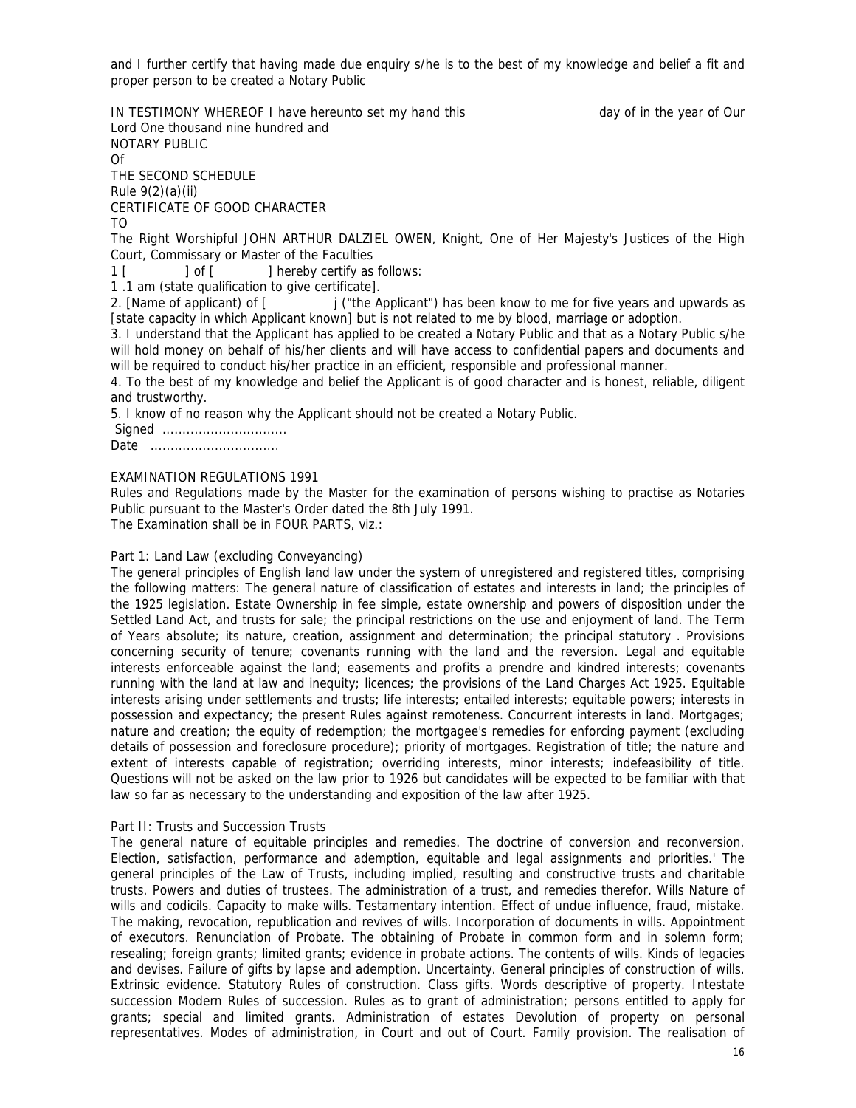and I further certify that having made due enquiry s/he is to the best of my knowledge and belief a fit and proper person to be created a Notary Public

IN TESTIMONY WHEREOF I have hereunto set my hand this day of in the year of Our Lord One thousand nine hundred and NOTARY PUBLIC Of THE SECOND SCHEDULE Rule 9(2)(a)(ii) CERTIFICATE OF GOOD CHARACTER TO The Right Worshipful JOHN ARTHUR DALZIEL OWEN, Knight, One of Her Majesty's Justices of the High Court, Commissary or Master of the Faculties 1 [ ] of [ ] hereby certify as follows: 1 .1 am (state qualification to give certificate]. 2. [Name of applicant] of  $\lceil \cdot \cdot \rceil$  i ("the Applicant") has been know to me for five years and upwards as [state capacity in which Applicant known] but is not related to me by blood, marriage or adoption. 3. I understand that the Applicant has applied to be created a Notary Public and that as a Notary Public s/he will hold money on behalf of his/her clients and will have access to confidential papers and documents and will be required to conduct his/her practice in an efficient, responsible and professional manner. 4. To the best of my knowledge and belief the Applicant is of good character and is honest, reliable, diligent

and trustworthy.

5. I know of no reason why the Applicant should not be created a Notary Public.

| Sianed |  |  |  |  |  |  |  |  |  |  |  |  |  |  |  |  |  |  |
|--------|--|--|--|--|--|--|--|--|--|--|--|--|--|--|--|--|--|--|
| Date   |  |  |  |  |  |  |  |  |  |  |  |  |  |  |  |  |  |  |

# EXAMINATION REGULATIONS 1991

Rules and Regulations made by the Master for the examination of persons wishing to practise as Notaries Public pursuant to the Master's Order dated the 8th July 1991.

The Examination shall be in FOUR PARTS, viz.:

## Part 1: Land Law (excluding Conveyancing)

The general principles of English land law under the system of unregistered and registered titles, comprising the following matters: The general nature of classification of estates and interests in land; the principles of the 1925 legislation. Estate Ownership in fee simple, estate ownership and powers of disposition under the Settled Land Act, and trusts for sale; the principal restrictions on the use and enjoyment of land. The Term of Years absolute; its nature, creation, assignment and determination; the principal statutory . Provisions concerning security of tenure; covenants running with the land and the reversion. Legal and equitable interests enforceable against the land; easements and profits a prendre and kindred interests; covenants running with the land at law and inequity; licences; the provisions of the Land Charges Act 1925. Equitable interests arising under settlements and trusts; life interests; entailed interests; equitable powers; interests in possession and expectancy; the present Rules against remoteness. Concurrent interests in land. Mortgages; nature and creation; the equity of redemption; the mortgagee's remedies for enforcing payment (excluding details of possession and foreclosure procedure); priority of mortgages. Registration of title; the nature and extent of interests capable of registration; overriding interests, minor interests; indefeasibility of title. Questions will not be asked on the law prior to 1926 but candidates will be expected to be familiar with that law so far as necessary to the understanding and exposition of the law after 1925.

## Part II: Trusts and Succession Trusts

The general nature of equitable principles and remedies. The doctrine of conversion and reconversion. Election, satisfaction, performance and ademption, equitable and legal assignments and priorities.' The general principles of the Law of Trusts, including implied, resulting and constructive trusts and charitable trusts. Powers and duties of trustees. The administration of a trust, and remedies therefor. Wills Nature of wills and codicils. Capacity to make wills. Testamentary intention. Effect of undue influence, fraud, mistake. The making, revocation, republication and revives of wills. Incorporation of documents in wills. Appointment of executors. Renunciation of Probate. The obtaining of Probate in common form and in solemn form; resealing; foreign grants; limited grants; evidence in probate actions. The contents of wills. Kinds of legacies and devises. Failure of gifts by lapse and ademption. Uncertainty. General principles of construction of wills. Extrinsic evidence. Statutory Rules of construction. Class gifts. Words descriptive of property. Intestate succession Modern Rules of succession. Rules as to grant of administration; persons entitled to apply for grants; special and limited grants. Administration of estates Devolution of property on personal representatives. Modes of administration, in Court and out of Court. Family provision. The realisation of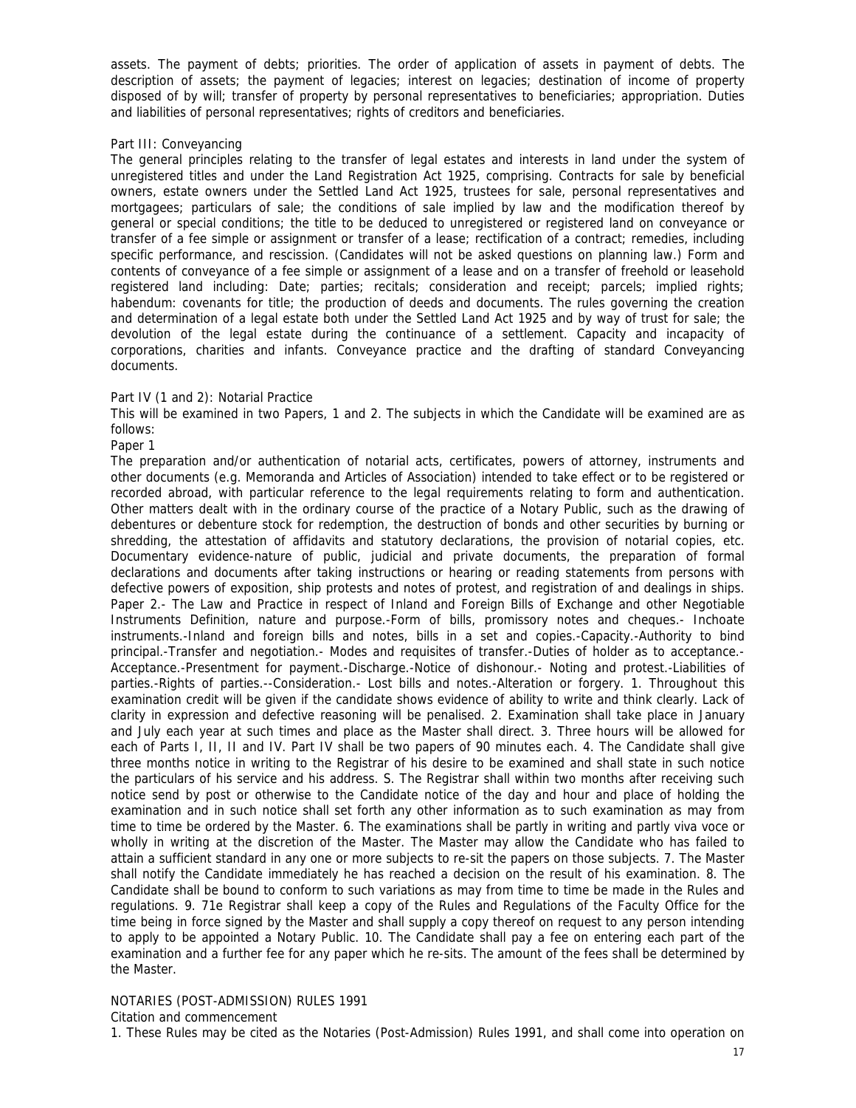assets. The payment of debts; priorities. The order of application of assets in payment of debts. The description of assets; the payment of legacies; interest on legacies; destination of income of property disposed of by will; transfer of property by personal representatives to beneficiaries; appropriation. Duties and liabilities of personal representatives; rights of creditors and beneficiaries.

#### Part III: Conveyancing

The general principles relating to the transfer of legal estates and interests in land under the system of unregistered titles and under the Land Registration Act 1925, comprising. Contracts for sale by beneficial owners, estate owners under the Settled Land Act 1925, trustees for sale, personal representatives and mortgagees; particulars of sale; the conditions of sale implied by law and the modification thereof by general or special conditions; the title to be deduced to unregistered or registered land on conveyance or transfer of a fee simple or assignment or transfer of a lease; rectification of a contract; remedies, including specific performance, and rescission. (Candidates will not be asked questions on planning law.) Form and contents of conveyance of a fee simple or assignment of a lease and on a transfer of freehold or leasehold registered land including: Date; parties; recitals; consideration and receipt; parcels; implied rights; habendum: covenants for title; the production of deeds and documents. The rules governing the creation and determination of a legal estate both under the Settled Land Act 1925 and by way of trust for sale; the devolution of the legal estate during the continuance of a settlement. Capacity and incapacity of corporations, charities and infants. Conveyance practice and the drafting of standard Conveyancing documents.

## Part IV (1 and 2): Notarial Practice

This will be examined in two Papers, 1 and 2. The subjects in which the Candidate will be examined are as follows:

## Paper 1

The preparation and/or authentication of notarial acts, certificates, powers of attorney, instruments and other documents (e.g. Memoranda and Articles of Association) intended to take effect or to be registered or recorded abroad, with particular reference to the legal requirements relating to form and authentication. Other matters dealt with in the ordinary course of the practice of a Notary Public, such as the drawing of debentures or debenture stock for redemption, the destruction of bonds and other securities by burning or shredding, the attestation of affidavits and statutory declarations, the provision of notarial copies, etc. Documentary evidence-nature of public, judicial and private documents, the preparation of formal declarations and documents after taking instructions or hearing or reading statements from persons with defective powers of exposition, ship protests and notes of protest, and registration of and dealings in ships. Paper 2.- The Law and Practice in respect of Inland and Foreign Bills of Exchange and other Negotiable Instruments Definition, nature and purpose.-Form of bills, promissory notes and cheques.- Inchoate instruments.-Inland and foreign bills and notes, bills in a set and copies.-Capacity.-Authority to bind principal.-Transfer and negotiation.- Modes and requisites of transfer.-Duties of holder as to acceptance.- Acceptance.-Presentment for payment.-Discharge.-Notice of dishonour.- Noting and protest.-Liabilities of parties.-Rights of parties.--Consideration.- Lost bills and notes.-Alteration or forgery. 1. Throughout this examination credit will be given if the candidate shows evidence of ability to write and think clearly. Lack of clarity in expression and defective reasoning will be penalised. 2. Examination shall take place in January and July each year at such times and place as the Master shall direct. 3. Three hours will be allowed for each of Parts I, II, II and IV. Part IV shall be two papers of 90 minutes each. 4. The Candidate shall give three months notice in writing to the Registrar of his desire to be examined and shall state in such notice the particulars of his service and his address. S. The Registrar shall within two months after receiving such notice send by post or otherwise to the Candidate notice of the day and hour and place of holding the examination and in such notice shall set forth any other information as to such examination as may from time to time be ordered by the Master. 6. The examinations shall be partly in writing and partly viva voce or wholly in writing at the discretion of the Master. The Master may allow the Candidate who has failed to attain a sufficient standard in any one or more subjects to re-sit the papers on those subjects. 7. The Master shall notify the Candidate immediately he has reached a decision on the result of his examination. 8. The Candidate shall be bound to conform to such variations as may from time to time be made in the Rules and regulations. 9. 71e Registrar shall keep a copy of the Rules and Regulations of the Faculty Office for the time being in force signed by the Master and shall supply a copy thereof on request to any person intending to apply to be appointed a Notary Public. 10. The Candidate shall pay a fee on entering each part of the examination and a further fee for any paper which he re-sits. The amount of the fees shall be determined by the Master.

# NOTARIES (POST-ADMISSION) RULES 1991

Citation and commencement

1. These Rules may be cited as the Notaries (Post-Admission) Rules 1991, and shall come into operation on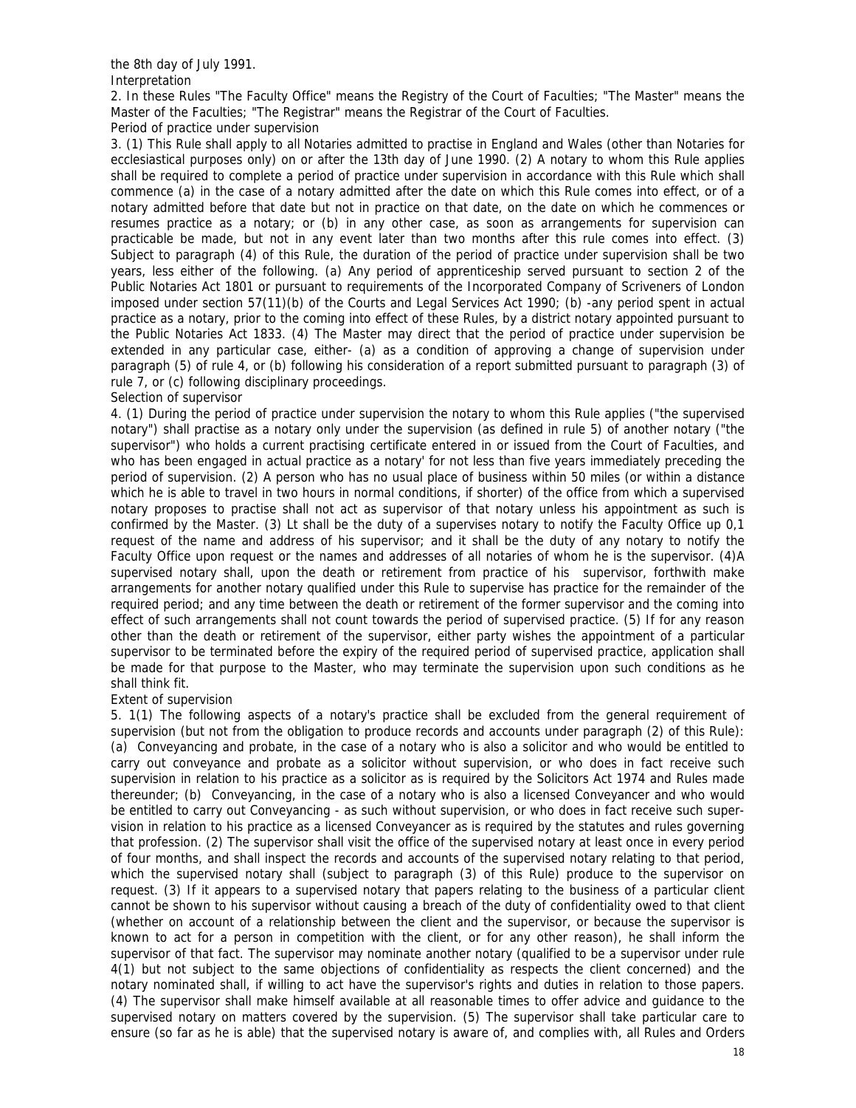the 8th day of July 1991.

Interpretation

2. In these Rules "The Faculty Office" means the Registry of the Court of Faculties; "The Master" means the Master of the Faculties; "The Registrar" means the Registrar of the Court of Faculties. Period of practice under supervision

3. (1) This Rule shall apply to all Notaries admitted to practise in England and Wales (other than Notaries for ecclesiastical purposes only) on or after the 13th day of June 1990. (2) A notary to whom this Rule applies shall be required to complete a period of practice under supervision in accordance with this Rule which shall commence (a) in the case of a notary admitted after the date on which this Rule comes into effect, or of a notary admitted before that date but not in practice on that date, on the date on which he commences or resumes practice as a notary; or (b) in any other case, as soon as arrangements for supervision can practicable be made, but not in any event later than two months after this rule comes into effect. (3) Subject to paragraph (4) of this Rule, the duration of the period of practice under supervision shall be two years, less either of the following. (a) Any period of apprenticeship served pursuant to section 2 of the Public Notaries Act 1801 or pursuant to requirements of the Incorporated Company of Scriveners of London imposed under section 57(11)(b) of the Courts and Legal Services Act 1990; (b) -any period spent in actual practice as a notary, prior to the coming into effect of these Rules, by a district notary appointed pursuant to the Public Notaries Act 1833. (4) The Master may direct that the period of practice under supervision be extended in any particular case, either- (a) as a condition of approving a change of supervision under paragraph (5) of rule 4, or (b) following his consideration of a report submitted pursuant to paragraph (3) of rule 7, or (c) following disciplinary proceedings.

## Selection of supervisor

4. (1) During the period of practice under supervision the notary to whom this Rule applies ("the supervised notary") shall practise as a notary only under the supervision (as defined in rule 5) of another notary ("the supervisor") who holds a current practising certificate entered in or issued from the Court of Faculties, and who has been engaged in actual practice as a notary' for not less than five years immediately preceding the period of supervision. (2) A person who has no usual place of business within 50 miles (or within a distance which he is able to travel in two hours in normal conditions, if shorter) of the office from which a supervised notary proposes to practise shall not act as supervisor of that notary unless his appointment as such is confirmed by the Master. (3) Lt shall be the duty of a supervises notary to notify the Faculty Office up 0,1 request of the name and address of his supervisor; and it shall be the duty of any notary to notify the Faculty Office upon request or the names and addresses of all notaries of whom he is the supervisor. (4)A supervised notary shall, upon the death or retirement from practice of his supervisor, forthwith make arrangements for another notary qualified under this Rule to supervise has practice for the remainder of the required period; and any time between the death or retirement of the former supervisor and the coming into effect of such arrangements shall not count towards the period of supervised practice. (5) If for any reason other than the death or retirement of the supervisor, either party wishes the appointment of a particular supervisor to be terminated before the expiry of the required period of supervised practice, application shall be made for that purpose to the Master, who may terminate the supervision upon such conditions as he shall think fit.

# Extent of supervision

5. 1(1) The following aspects of a notary's practice shall be excluded from the general requirement of supervision (but not from the obligation to produce records and accounts under paragraph (2) of this Rule): (a) Conveyancing and probate, in the case of a notary who is also a solicitor and who would be entitled to carry out conveyance and probate as a solicitor without supervision, or who does in fact receive such supervision in relation to his practice as a solicitor as is required by the Solicitors Act 1974 and Rules made thereunder; (b) Conveyancing, in the case of a notary who is also a licensed Conveyancer and who would be entitled to carry out Conveyancing - as such without supervision, or who does in fact receive such supervision in relation to his practice as a licensed Conveyancer as is required by the statutes and rules governing that profession. (2) The supervisor shall visit the office of the supervised notary at least once in every period of four months, and shall inspect the records and accounts of the supervised notary relating to that period, which the supervised notary shall (subject to paragraph (3) of this Rule) produce to the supervisor on request. (3) If it appears to a supervised notary that papers relating to the business of a particular client cannot be shown to his supervisor without causing a breach of the duty of confidentiality owed to that client (whether on account of a relationship between the client and the supervisor, or because the supervisor is known to act for a person in competition with the client, or for any other reason), he shall inform the supervisor of that fact. The supervisor may nominate another notary (qualified to be a supervisor under rule 4(1) but not subject to the same objections of confidentiality as respects the client concerned) and the notary nominated shall, if willing to act have the supervisor's rights and duties in relation to those papers. (4) The supervisor shall make himself available at all reasonable times to offer advice and guidance to the supervised notary on matters covered by the supervision. (5) The supervisor shall take particular care to ensure (so far as he is able) that the supervised notary is aware of, and complies with, all Rules and Orders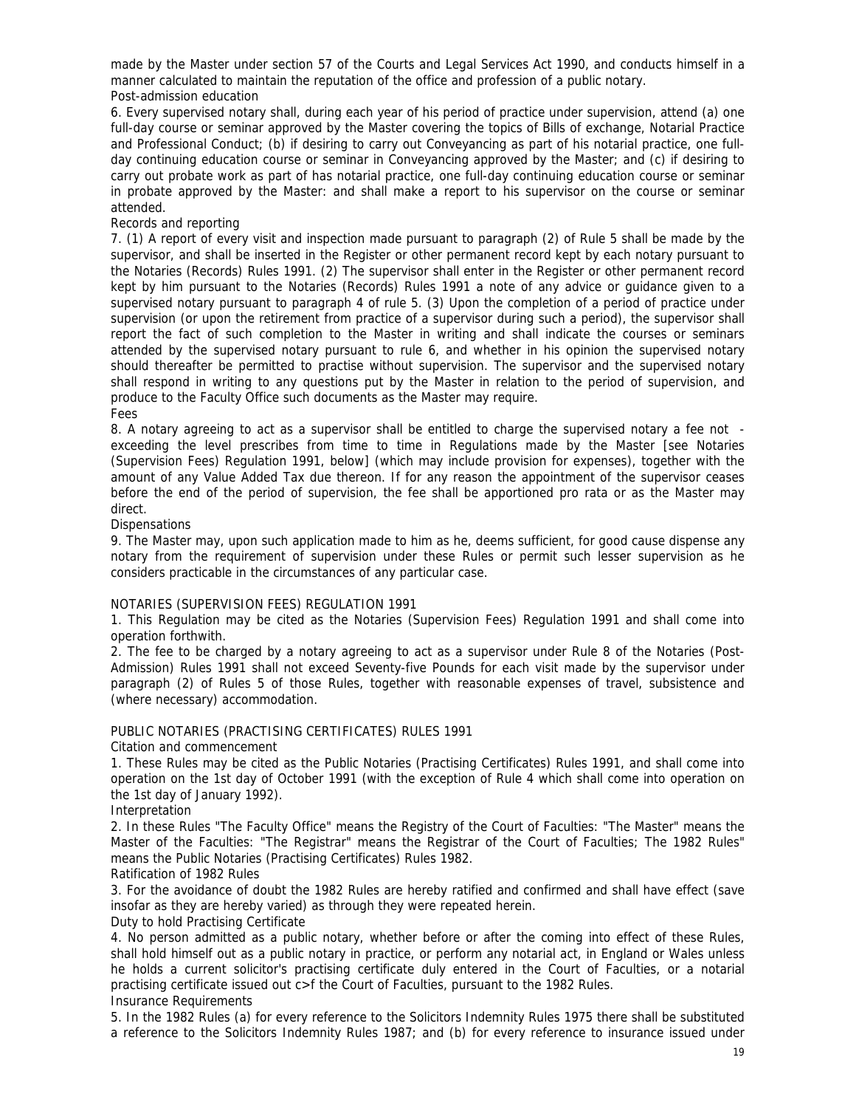made by the Master under section 57 of the Courts and Legal Services Act 1990, and conducts himself in a manner calculated to maintain the reputation of the office and profession of a public notary. Post-admission education

6. Every supervised notary shall, during each year of his period of practice under supervision, attend (a) one full-day course or seminar approved by the Master covering the topics of Bills of exchange, Notarial Practice and Professional Conduct; (b) if desiring to carry out Conveyancing as part of his notarial practice, one fullday continuing education course or seminar in Conveyancing approved by the Master; and (c) if desiring to carry out probate work as part of has notarial practice, one full-day continuing education course or seminar in probate approved by the Master: and shall make a report to his supervisor on the course or seminar attended.

## Records and reporting

7. (1) A report of every visit and inspection made pursuant to paragraph (2) of Rule 5 shall be made by the supervisor, and shall be inserted in the Register or other permanent record kept by each notary pursuant to the Notaries (Records) Rules 1991. (2) The supervisor shall enter in the Register or other permanent record kept by him pursuant to the Notaries (Records) Rules 1991 a note of any advice or guidance given to a supervised notary pursuant to paragraph 4 of rule 5. (3) Upon the completion of a period of practice under supervision (or upon the retirement from practice of a supervisor during such a period), the supervisor shall report the fact of such completion to the Master in writing and shall indicate the courses or seminars attended by the supervised notary pursuant to rule 6, and whether in his opinion the supervised notary should thereafter be permitted to practise without supervision. The supervisor and the supervised notary shall respond in writing to any questions put by the Master in relation to the period of supervision, and produce to the Faculty Office such documents as the Master may require. Fees

8. A notary agreeing to act as a supervisor shall be entitled to charge the supervised notary a fee not exceeding the level prescribes from time to time in Regulations made by the Master [see Notaries (Supervision Fees) Regulation 1991, below] (which may include provision for expenses), together with the amount of any Value Added Tax due thereon. If for any reason the appointment of the supervisor ceases before the end of the period of supervision, the fee shall be apportioned pro rata or as the Master may direct.

## **Dispensations**

9. The Master may, upon such application made to him as he, deems sufficient, for good cause dispense any notary from the requirement of supervision under these Rules or permit such lesser supervision as he considers practicable in the circumstances of any particular case.

## NOTARIES (SUPERVISION FEES) REGULATION 1991

1. This Regulation may be cited as the Notaries (Supervision Fees) Regulation 1991 and shall come into operation forthwith.

2. The fee to be charged by a notary agreeing to act as a supervisor under Rule 8 of the Notaries (Post-Admission) Rules 1991 shall not exceed Seventy-five Pounds for each visit made by the supervisor under paragraph (2) of Rules 5 of those Rules, together with reasonable expenses of travel, subsistence and (where necessary) accommodation.

# PUBLIC NOTARIES (PRACTISING CERTIFICATES) RULES 1991

Citation and commencement

1. These Rules may be cited as the Public Notaries (Practising Certificates) Rules 1991, and shall come into operation on the 1st day of October 1991 (with the exception of Rule 4 which shall come into operation on the 1st day of January 1992).

## Interpretation

2. In these Rules "The Faculty Office" means the Registry of the Court of Faculties: "The Master" means the Master of the Faculties: "The Registrar" means the Registrar of the Court of Faculties; The 1982 Rules" means the Public Notaries (Practising Certificates) Rules 1982.

## Ratification of 1982 Rules

3. For the avoidance of doubt the 1982 Rules are hereby ratified and confirmed and shall have effect (save insofar as they are hereby varied) as through they were repeated herein.

Duty to hold Practising Certificate

4. No person admitted as a public notary, whether before or after the coming into effect of these Rules, shall hold himself out as a public notary in practice, or perform any notarial act, in England or Wales unless he holds a current solicitor's practising certificate duly entered in the Court of Faculties, or a notarial practising certificate issued out c>f the Court of Faculties, pursuant to the 1982 Rules.

## Insurance Requirements

5. In the 1982 Rules (a) for every reference to the Solicitors Indemnity Rules 1975 there shall be substituted a reference to the Solicitors Indemnity Rules 1987; and (b) for every reference to insurance issued under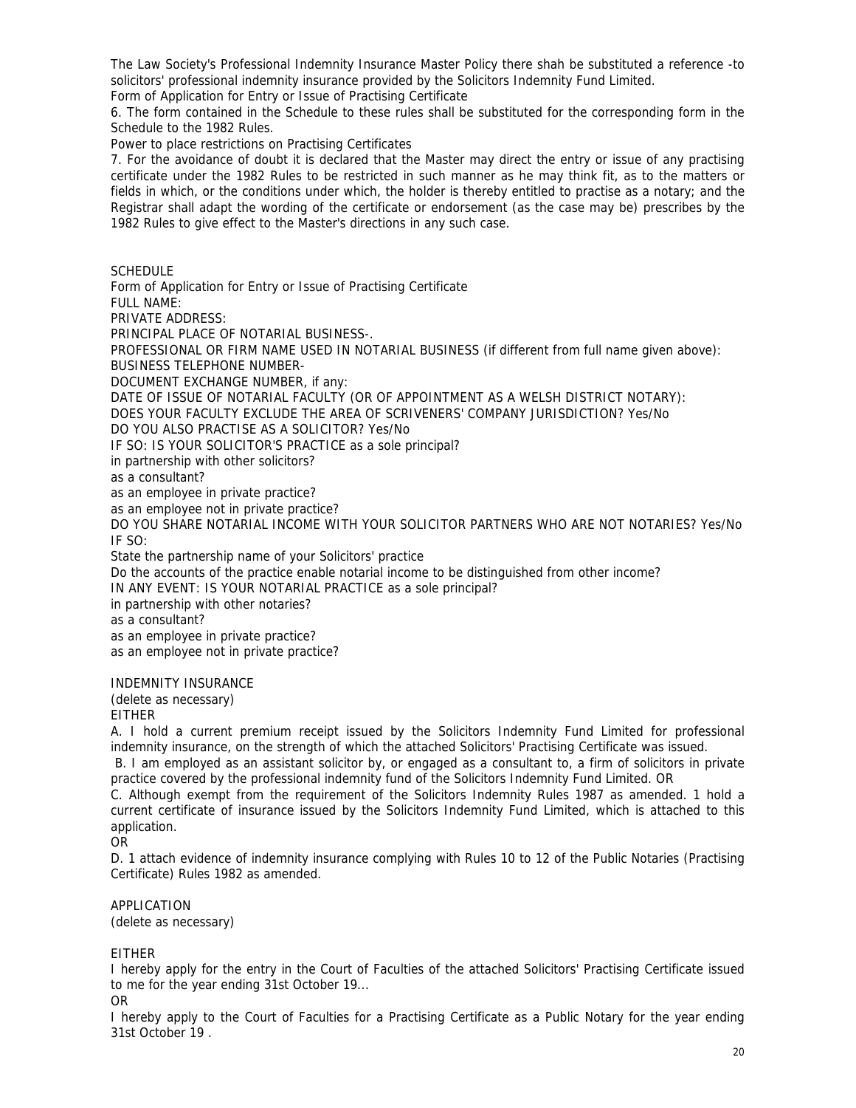The Law Society's Professional Indemnity Insurance Master Policy there shah be substituted a reference -to solicitors' professional indemnity insurance provided by the Solicitors Indemnity Fund Limited.

Form of Application for Entry or Issue of Practising Certificate

6. The form contained in the Schedule to these rules shall be substituted for the corresponding form in the Schedule to the 1982 Rules.

Power to place restrictions on Practising Certificates

7. For the avoidance of doubt it is declared that the Master may direct the entry or issue of any practising certificate under the 1982 Rules to be restricted in such manner as he may think fit, as to the matters or fields in which, or the conditions under which, the holder is thereby entitled to practise as a notary; and the Registrar shall adapt the wording of the certificate or endorsement (as the case may be) prescribes by the 1982 Rules to give effect to the Master's directions in any such case.

SCHEDULE

Form of Application for Entry or Issue of Practising Certificate FULL NAME: PRIVATE ADDRESS: PRINCIPAL PLACE OF NOTARIAL BUSINESS-. PROFESSIONAL OR FIRM NAME USED IN NOTARIAL BUSINESS (if different from full name given above): BUSINESS TELEPHONE NUMBER-DOCUMENT EXCHANGE NUMBER, if any: DATE OF ISSUE OF NOTARIAL FACULTY (OR OF APPOINTMENT AS A WELSH DISTRICT NOTARY): DOES YOUR FACULTY EXCLUDE THE AREA OF SCRIVENERS' COMPANY JURISDICTION? Yes/No DO YOU ALSO PRACTISE AS A SOLICITOR? Yes/No IF SO: IS YOUR SOLICITOR'S PRACTICE as a sole principal? in partnership with other solicitors? as a consultant? as an employee in private practice? as an employee not in private practice? DO YOU SHARE NOTARIAL INCOME WITH YOUR SOLICITOR PARTNERS WHO ARE NOT NOTARIES? Yes/No IF SO: State the partnership name of your Solicitors' practice Do the accounts of the practice enable notarial income to be distinguished from other income? IN ANY EVENT: IS YOUR NOTARIAL PRACTICE as a sole principal? in partnership with other notaries? as a consultant? as an employee in private practice? as an employee not in private practice? INDEMNITY INSURANCE (delete as necessary)

EITHER

A. I hold a current premium receipt issued by the Solicitors Indemnity Fund Limited for professional indemnity insurance, on the strength of which the attached Solicitors' Practising Certificate was issued.

 B. I am employed as an assistant solicitor by, or engaged as a consultant to, a firm of solicitors in private practice covered by the professional indemnity fund of the Solicitors Indemnity Fund Limited. OR

C. Although exempt from the requirement of the Solicitors Indemnity Rules 1987 as amended. 1 hold a current certificate of insurance issued by the Solicitors Indemnity Fund Limited, which is attached to this application.

OR

D. 1 attach evidence of indemnity insurance complying with Rules 10 to 12 of the Public Notaries (Practising Certificate) Rules 1982 as amended.

APPLICATION (delete as necessary)

EITHER

I hereby apply for the entry in the Court of Faculties of the attached Solicitors' Practising Certificate issued to me for the year ending 31st October 19...

OR

I hereby apply to the Court of Faculties for a Practising Certificate as a Public Notary for the year ending 31st October 19 .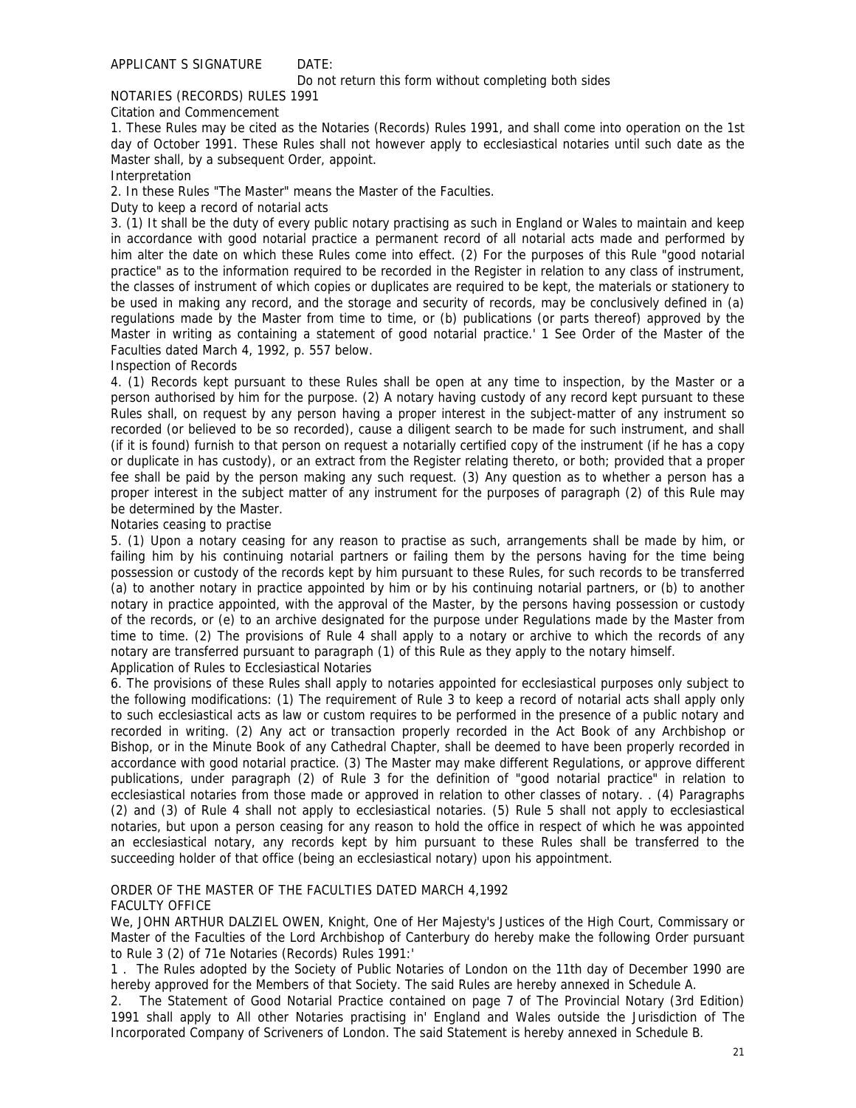## APPLICANT S SIGNATURE DATE:

Do not return this form without completing both sides

## NOTARIES (RECORDS) RULES 1991

Citation and Commencement

1. These Rules may be cited as the Notaries (Records) Rules 1991, and shall come into operation on the 1st day of October 1991. These Rules shall not however apply to ecclesiastical notaries until such date as the Master shall, by a subsequent Order, appoint.

#### Interpretation

2. In these Rules "The Master" means the Master of the Faculties.

Duty to keep a record of notarial acts

3. (1) It shall be the duty of every public notary practising as such in England or Wales to maintain and keep in accordance with good notarial practice a permanent record of all notarial acts made and performed by him alter the date on which these Rules come into effect. (2) For the purposes of this Rule "good notarial practice" as to the information required to be recorded in the Register in relation to any class of instrument, the classes of instrument of which copies or duplicates are required to be kept, the materials or stationery to be used in making any record, and the storage and security of records, may be conclusively defined in (a) regulations made by the Master from time to time, or (b) publications (or parts thereof) approved by the Master in writing as containing a statement of good notarial practice.' 1 See Order of the Master of the Faculties dated March 4, 1992, p. 557 below.

Inspection of Records

4. (1) Records kept pursuant to these Rules shall be open at any time to inspection, by the Master or a person authorised by him for the purpose. (2) A notary having custody of any record kept pursuant to these Rules shall, on request by any person having a proper interest in the subject-matter of any instrument so recorded (or believed to be so recorded), cause a diligent search to be made for such instrument, and shall (if it is found) furnish to that person on request a notarially certified copy of the instrument (if he has a copy or duplicate in has custody), or an extract from the Register relating thereto, or both; provided that a proper fee shall be paid by the person making any such request. (3) Any question as to whether a person has a proper interest in the subject matter of any instrument for the purposes of paragraph (2) of this Rule may be determined by the Master.

Notaries ceasing to practise

5. (1) Upon a notary ceasing for any reason to practise as such, arrangements shall be made by him, or failing him by his continuing notarial partners or failing them by the persons having for the time being possession or custody of the records kept by him pursuant to these Rules, for such records to be transferred (a) to another notary in practice appointed by him or by his continuing notarial partners, or (b) to another notary in practice appointed, with the approval of the Master, by the persons having possession or custody of the records, or (e) to an archive designated for the purpose under Regulations made by the Master from time to time. (2) The provisions of Rule 4 shall apply to a notary or archive to which the records of any notary are transferred pursuant to paragraph (1) of this Rule as they apply to the notary himself. Application of Rules to Ecclesiastical Notaries

6. The provisions of these Rules shall apply to notaries appointed for ecclesiastical purposes only subject to the following modifications: (1) The requirement of Rule 3 to keep a record of notarial acts shall apply only to such ecclesiastical acts as law or custom requires to be performed in the presence of a public notary and recorded in writing. (2) Any act or transaction properly recorded in the Act Book of any Archbishop or Bishop, or in the Minute Book of any Cathedral Chapter, shall be deemed to have been properly recorded in accordance with good notarial practice. (3) The Master may make different Regulations, or approve different publications, under paragraph (2) of Rule 3 for the definition of "good notarial practice" in relation to ecclesiastical notaries from those made or approved in relation to other classes of notary. . (4) Paragraphs (2) and (3) of Rule 4 shall not apply to ecclesiastical notaries. (5) Rule 5 shall not apply to ecclesiastical notaries, but upon a person ceasing for any reason to hold the office in respect of which he was appointed an ecclesiastical notary, any records kept by him pursuant to these Rules shall be transferred to the succeeding holder of that office (being an ecclesiastical notary) upon his appointment.

## ORDER OF THE MASTER OF THE FACULTIES DATED MARCH 4,1992 FACULTY OFFICE

We, JOHN ARTHUR DALZIEL OWEN, Knight, One of Her Majesty's Justices of the High Court, Commissary or Master of the Faculties of the Lord Archbishop of Canterbury do hereby make the following Order pursuant to Rule 3 (2) of 71e Notaries (Records) Rules 1991:'

1 . The Rules adopted by the Society of Public Notaries of London on the 11th day of December 1990 are hereby approved for the Members of that Society. The said Rules are hereby annexed in Schedule A.

2. The Statement of Good Notarial Practice contained on page 7 of The Provincial Notary (3rd Edition) 1991 shall apply to All other Notaries practising in' England and Wales outside the Jurisdiction of The Incorporated Company of Scriveners of London. The said Statement is hereby annexed in Schedule B.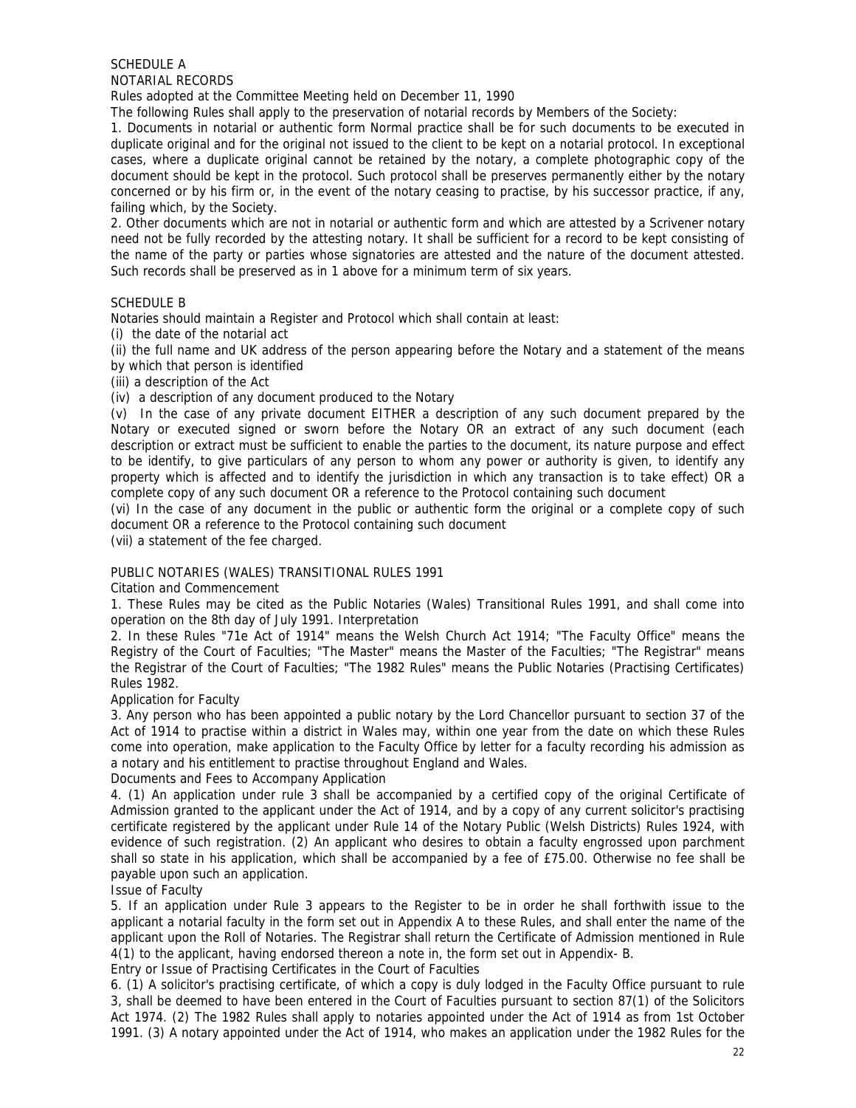SCHEDULE A NOTARIAL RECORDS

Rules adopted at the Committee Meeting held on December 11, 1990

The following Rules shall apply to the preservation of notarial records by Members of the Society:

1. Documents in notarial or authentic form Normal practice shall be for such documents to be executed in duplicate original and for the original not issued to the client to be kept on a notarial protocol. In exceptional cases, where a duplicate original cannot be retained by the notary, a complete photographic copy of the document should be kept in the protocol. Such protocol shall be preserves permanently either by the notary concerned or by his firm or, in the event of the notary ceasing to practise, by his successor practice, if any, failing which, by the Society.

2. Other documents which are not in notarial or authentic form and which are attested by a Scrivener notary need not be fully recorded by the attesting notary. It shall be sufficient for a record to be kept consisting of the name of the party or parties whose signatories are attested and the nature of the document attested. Such records shall be preserved as in 1 above for a minimum term of six years.

## SCHEDULE B

Notaries should maintain a Register and Protocol which shall contain at least:

(i) the date of the notarial act

(ii) the full name and UK address of the person appearing before the Notary and a statement of the means by which that person is identified

(iii) a description of the Act

(iv) a description of any document produced to the Notary

(v) In the case of any private document EITHER a description of any such document prepared by the Notary or executed signed or sworn before the Notary OR an extract of any such document (each description or extract must be sufficient to enable the parties to the document, its nature purpose and effect to be identify, to give particulars of any person to whom any power or authority is given, to identify any property which is affected and to identify the jurisdiction in which any transaction is to take effect) OR a complete copy of any such document OR a reference to the Protocol containing such document

(vi) In the case of any document in the public or authentic form the original or a complete copy of such document OR a reference to the Protocol containing such document

(vii) a statement of the fee charged.

# PUBLIC NOTARIES (WALES) TRANSITIONAL RULES 1991

## Citation and Commencement

1. These Rules may be cited as the Public Notaries (Wales) Transitional Rules 1991, and shall come into operation on the 8th day of July 1991. Interpretation

2. In these Rules "71e Act of 1914" means the Welsh Church Act 1914; "The Faculty Office" means the Registry of the Court of Faculties; "The Master" means the Master of the Faculties; "The Registrar" means the Registrar of the Court of Faculties; "The 1982 Rules" means the Public Notaries (Practising Certificates) Rules 1982.

## Application for Faculty

3. Any person who has been appointed a public notary by the Lord Chancellor pursuant to section 37 of the Act of 1914 to practise within a district in Wales may, within one year from the date on which these Rules come into operation, make application to the Faculty Office by letter for a faculty recording his admission as a notary and his entitlement to practise throughout England and Wales.

Documents and Fees to Accompany Application

4. (1) An application under rule 3 shall be accompanied by a certified copy of the original Certificate of Admission granted to the applicant under the Act of 1914, and by a copy of any current solicitor's practising certificate registered by the applicant under Rule 14 of the Notary Public (Welsh Districts) Rules 1924, with evidence of such registration. (2) An applicant who desires to obtain a faculty engrossed upon parchment shall so state in his application, which shall be accompanied by a fee of £75.00. Otherwise no fee shall be payable upon such an application.

## Issue of Faculty

5. If an application under Rule 3 appears to the Register to be in order he shall forthwith issue to the applicant a notarial faculty in the form set out in Appendix A to these Rules, and shall enter the name of the applicant upon the Roll of Notaries. The Registrar shall return the Certificate of Admission mentioned in Rule 4(1) to the applicant, having endorsed thereon a note in, the form set out in Appendix- B.

Entry or Issue of Practising Certificates in the Court of Faculties

6. (1) A solicitor's practising certificate, of which a copy is duly lodged in the Faculty Office pursuant to rule 3, shall be deemed to have been entered in the Court of Faculties pursuant to section 87(1) of the Solicitors Act 1974. (2) The 1982 Rules shall apply to notaries appointed under the Act of 1914 as from 1st October 1991. (3) A notary appointed under the Act of 1914, who makes an application under the 1982 Rules for the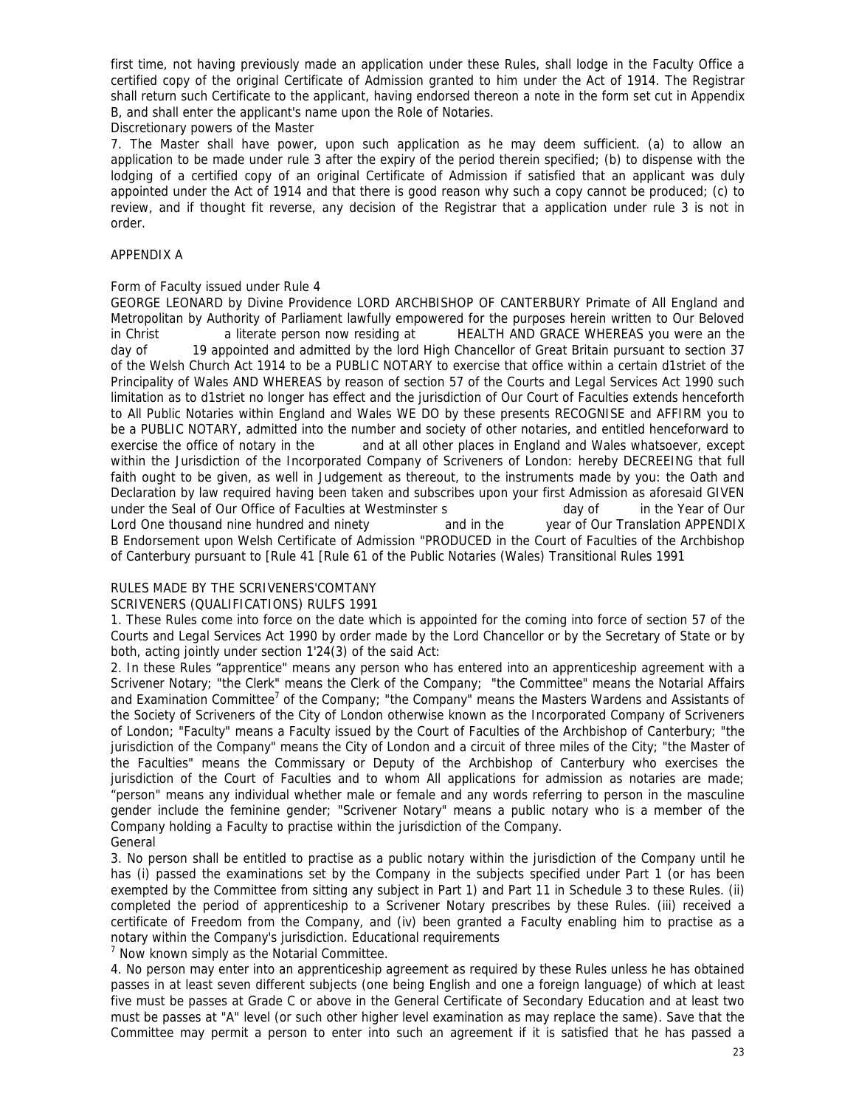first time, not having previously made an application under these Rules, shall lodge in the Faculty Office a certified copy of the original Certificate of Admission granted to him under the Act of 1914. The Registrar shall return such Certificate to the applicant, having endorsed thereon a note in the form set cut in Appendix B, and shall enter the applicant's name upon the Role of Notaries.

Discretionary powers of the Master

7. The Master shall have power, upon such application as he may deem sufficient. (a) to allow an application to be made under rule 3 after the expiry of the period therein specified; (b) to dispense with the lodging of a certified copy of an original Certificate of Admission if satisfied that an applicant was duly appointed under the Act of 1914 and that there is good reason why such a copy cannot be produced; (c) to review, and if thought fit reverse, any decision of the Registrar that a application under rule 3 is not in order.

## APPENDIX A

## Form of Faculty issued under Rule 4

GEORGE LEONARD by Divine Providence LORD ARCHBISHOP OF CANTERBURY Primate of All England and Metropolitan by Authority of Parliament lawfully empowered for the purposes herein written to Our Beloved in Christ a literate person now residing at HEALTH AND GRACE WHEREAS you were an the day of 19 appointed and admitted by the lord High Chancellor of Great Britain pursuant to section 37 of the Welsh Church Act 1914 to be a PUBLIC NOTARY to exercise that office within a certain d1striet of the Principality of Wales AND WHEREAS by reason of section 57 of the Courts and Legal Services Act 1990 such limitation as to d1striet no longer has effect and the jurisdiction of Our Court of Faculties extends henceforth to All Public Notaries within England and Wales WE DO by these presents RECOGNISE and AFFIRM you to be a PUBLIC NOTARY, admitted into the number and society of other notaries, and entitled henceforward to exercise the office of notary in the and at all other places in England and Wales whatsoever, except within the Jurisdiction of the Incorporated Company of Scriveners of London: hereby DECREEING that full faith ought to be given, as well in Judgement as thereout, to the instruments made by you: the Oath and Declaration by law required having been taken and subscribes upon your first Admission as aforesaid GIVEN under the Seal of Our Office of Faculties at Westminster s but all and a day of in the Year of Our Lord One thousand nine hundred and ninety and in the year of Our Translation APPENDIX B Endorsement upon Welsh Certificate of Admission "PRODUCED in the Court of Faculties of the Archbishop of Canterbury pursuant to [Rule 41 [Rule 61 of the Public Notaries (Wales) Transitional Rules 1991

# RULES MADE BY THE SCRIVENERS'COMTANY

# SCRIVENERS (QUALIFICATIONS) RULFS 1991

1. These Rules come into force on the date which is appointed for the coming into force of section 57 of the Courts and Legal Services Act 1990 by order made by the Lord Chancellor or by the Secretary of State or by both, acting jointly under section 1'24(3) of the said Act:

2. In these Rules "apprentice" means any person who has entered into an apprenticeship agreement with a Scrivener Notary; "the Clerk" means the Clerk of the Company; "the Committee" means the Notarial Affairs and Examination Committee<sup>7</sup> of the Company; "the Company" means the Masters Wardens and Assistants of the Society of Scriveners of the City of London otherwise known as the Incorporated Company of Scriveners of London; "Faculty" means a Faculty issued by the Court of Faculties of the Archbishop of Canterbury; "the jurisdiction of the Company" means the City of London and a circuit of three miles of the City; "the Master of the Faculties" means the Commissary or Deputy of the Archbishop of Canterbury who exercises the jurisdiction of the Court of Faculties and to whom All applications for admission as notaries are made; "person" means any individual whether male or female and any words referring to person in the masculine gender include the feminine gender; "Scrivener Notary" means a public notary who is a member of the Company holding a Faculty to practise within the jurisdiction of the Company. General

3. No person shall be entitled to practise as a public notary within the jurisdiction of the Company until he has (i) passed the examinations set by the Company in the subjects specified under Part 1 (or has been exempted by the Committee from sitting any subject in Part 1) and Part 11 in Schedule 3 to these Rules. (ii) completed the period of apprenticeship to a Scrivener Notary prescribes by these Rules. (iii) received a certificate of Freedom from the Company, and (iv) been granted a Faculty enabling him to practise as a notary within the Company's jurisdiction. Educational requirements

<sup>7</sup> Now known simply as the Notarial Committee.

4. No person may enter into an apprenticeship agreement as required by these Rules unless he has obtained passes in at least seven different subjects (one being English and one a foreign language) of which at least five must be passes at Grade C or above in the General Certificate of Secondary Education and at least two must be passes at "A" level (or such other higher level examination as may replace the same). Save that the Committee may permit a person to enter into such an agreement if it is satisfied that he has passed a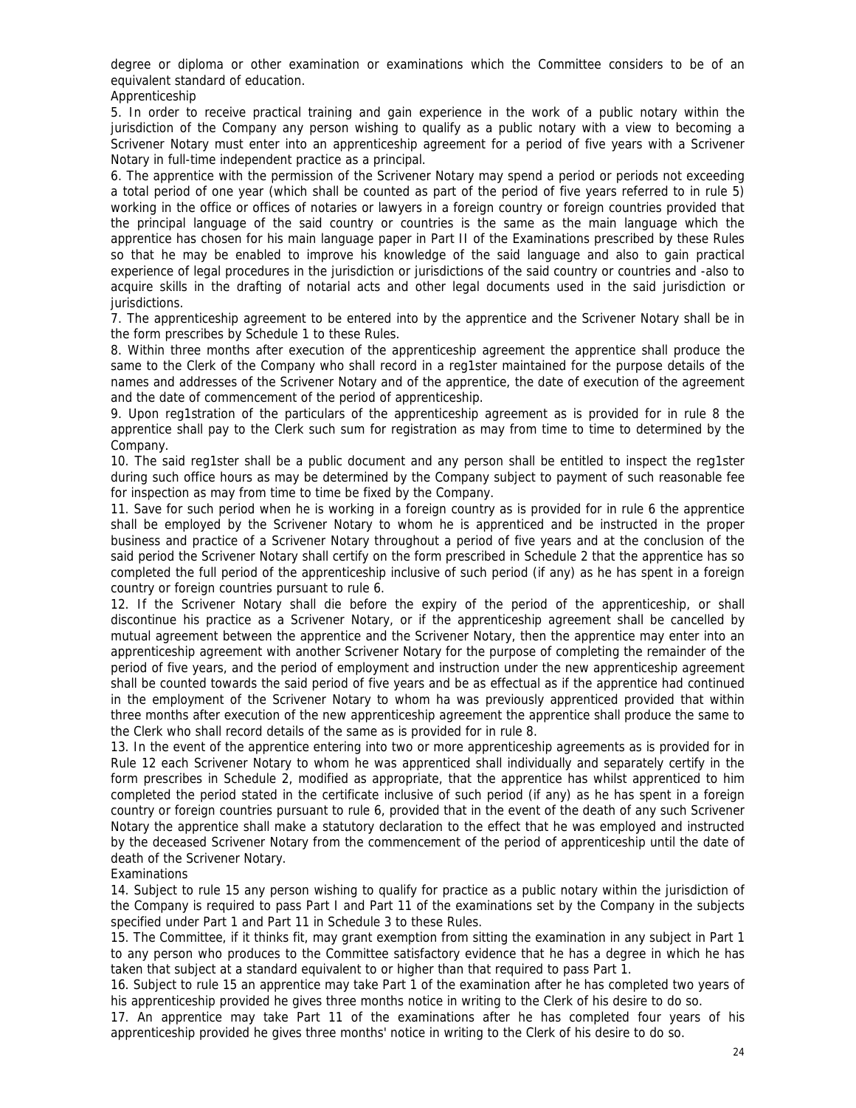degree or diploma or other examination or examinations which the Committee considers to be of an equivalent standard of education.

Apprenticeship

5. In order to receive practical training and gain experience in the work of a public notary within the jurisdiction of the Company any person wishing to qualify as a public notary with a view to becoming a Scrivener Notary must enter into an apprenticeship agreement for a period of five years with a Scrivener Notary in full-time independent practice as a principal.

6. The apprentice with the permission of the Scrivener Notary may spend a period or periods not exceeding a total period of one year (which shall be counted as part of the period of five years referred to in rule 5) working in the office or offices of notaries or lawyers in a foreign country or foreign countries provided that the principal language of the said country or countries is the same as the main language which the apprentice has chosen for his main language paper in Part II of the Examinations prescribed by these Rules so that he may be enabled to improve his knowledge of the said language and also to gain practical experience of legal procedures in the jurisdiction or jurisdictions of the said country or countries and -also to acquire skills in the drafting of notarial acts and other legal documents used in the said jurisdiction or jurisdictions.

7. The apprenticeship agreement to be entered into by the apprentice and the Scrivener Notary shall be in the form prescribes by Schedule 1 to these Rules.

8. Within three months after execution of the apprenticeship agreement the apprentice shall produce the same to the Clerk of the Company who shall record in a reg1ster maintained for the purpose details of the names and addresses of the Scrivener Notary and of the apprentice, the date of execution of the agreement and the date of commencement of the period of apprenticeship.

9. Upon reg1stration of the particulars of the apprenticeship agreement as is provided for in rule 8 the apprentice shall pay to the Clerk such sum for registration as may from time to time to determined by the Company.

10. The said reg1ster shall be a public document and any person shall be entitled to inspect the reg1ster during such office hours as may be determined by the Company subject to payment of such reasonable fee for inspection as may from time to time be fixed by the Company.

11. Save for such period when he is working in a foreign country as is provided for in rule 6 the apprentice shall be employed by the Scrivener Notary to whom he is apprenticed and be instructed in the proper business and practice of a Scrivener Notary throughout a period of five years and at the conclusion of the said period the Scrivener Notary shall certify on the form prescribed in Schedule 2 that the apprentice has so completed the full period of the apprenticeship inclusive of such period (if any) as he has spent in a foreign country or foreign countries pursuant to rule 6.

12. If the Scrivener Notary shall die before the expiry of the period of the apprenticeship, or shall discontinue his practice as a Scrivener Notary, or if the apprenticeship agreement shall be cancelled by mutual agreement between the apprentice and the Scrivener Notary, then the apprentice may enter into an apprenticeship agreement with another Scrivener Notary for the purpose of completing the remainder of the period of five years, and the period of employment and instruction under the new apprenticeship agreement shall be counted towards the said period of five years and be as effectual as if the apprentice had continued in the employment of the Scrivener Notary to whom ha was previously apprenticed provided that within three months after execution of the new apprenticeship agreement the apprentice shall produce the same to the Clerk who shall record details of the same as is provided for in rule 8.

13. In the event of the apprentice entering into two or more apprenticeship agreements as is provided for in Rule 12 each Scrivener Notary to whom he was apprenticed shall individually and separately certify in the form prescribes in Schedule 2, modified as appropriate, that the apprentice has whilst apprenticed to him completed the period stated in the certificate inclusive of such period (if any) as he has spent in a foreign country or foreign countries pursuant to rule 6, provided that in the event of the death of any such Scrivener Notary the apprentice shall make a statutory declaration to the effect that he was employed and instructed by the deceased Scrivener Notary from the commencement of the period of apprenticeship until the date of death of the Scrivener Notary.

## Examinations

14. Subject to rule 15 any person wishing to qualify for practice as a public notary within the jurisdiction of the Company is required to pass Part I and Part 11 of the examinations set by the Company in the subjects specified under Part 1 and Part 11 in Schedule 3 to these Rules.

15. The Committee, if it thinks fit, may grant exemption from sitting the examination in any subject in Part 1 to any person who produces to the Committee satisfactory evidence that he has a degree in which he has taken that subject at a standard equivalent to or higher than that required to pass Part 1.

16. Subject to rule 15 an apprentice may take Part 1 of the examination after he has completed two years of his apprenticeship provided he gives three months notice in writing to the Clerk of his desire to do so.

17. An apprentice may take Part 11 of the examinations after he has completed four years of his apprenticeship provided he gives three months' notice in writing to the Clerk of his desire to do so.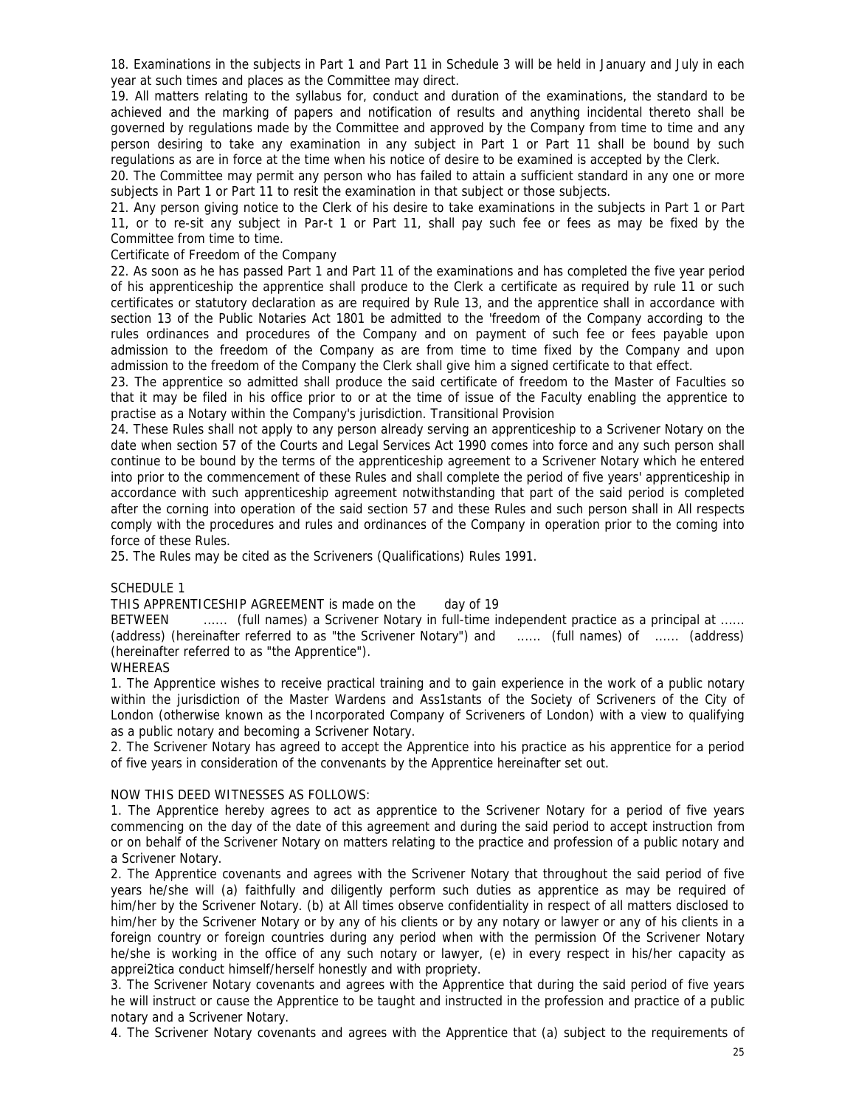18. Examinations in the subjects in Part 1 and Part 11 in Schedule 3 will be held in January and July in each year at such times and places as the Committee may direct.

19. All matters relating to the syllabus for, conduct and duration of the examinations, the standard to be achieved and the marking of papers and notification of results and anything incidental thereto shall be governed by regulations made by the Committee and approved by the Company from time to time and any person desiring to take any examination in any subject in Part 1 or Part 11 shall be bound by such regulations as are in force at the time when his notice of desire to be examined is accepted by the Clerk.

20. The Committee may permit any person who has failed to attain a sufficient standard in any one or more subjects in Part 1 or Part 11 to resit the examination in that subject or those subjects.

21. Any person giving notice to the Clerk of his desire to take examinations in the subjects in Part 1 or Part 11, or to re-sit any subject in Par-t 1 or Part 11, shall pay such fee or fees as may be fixed by the Committee from time to time.

#### Certificate of Freedom of the Company

22. As soon as he has passed Part 1 and Part 11 of the examinations and has completed the five year period of his apprenticeship the apprentice shall produce to the Clerk a certificate as required by rule 11 or such certificates or statutory declaration as are required by Rule 13, and the apprentice shall in accordance with section 13 of the Public Notaries Act 1801 be admitted to the 'freedom of the Company according to the rules ordinances and procedures of the Company and on payment of such fee or fees payable upon admission to the freedom of the Company as are from time to time fixed by the Company and upon admission to the freedom of the Company the Clerk shall give him a signed certificate to that effect.

23. The apprentice so admitted shall produce the said certificate of freedom to the Master of Faculties so that it may be filed in his office prior to or at the time of issue of the Faculty enabling the apprentice to practise as a Notary within the Company's jurisdiction. Transitional Provision

24. These Rules shall not apply to any person already serving an apprenticeship to a Scrivener Notary on the date when section 57 of the Courts and Legal Services Act 1990 comes into force and any such person shall continue to be bound by the terms of the apprenticeship agreement to a Scrivener Notary which he entered into prior to the commencement of these Rules and shall complete the period of five years' apprenticeship in accordance with such apprenticeship agreement notwithstanding that part of the said period is completed after the corning into operation of the said section 57 and these Rules and such person shall in All respects comply with the procedures and rules and ordinances of the Company in operation prior to the coming into force of these Rules.

25. The Rules may be cited as the Scriveners (Qualifications) Rules 1991.

#### SCHEDULE 1

#### THIS APPRENTICESHIP AGREEMENT is made on the day of 19

BETWEEN ....... (full names) a Scrivener Notary in full-time independent practice as a principal at ...... (address) (hereinafter referred to as "the Scrivener Notary") and ...... (full names) of ...... (address) (hereinafter referred to as "the Apprentice").

## WHEREAS

1. The Apprentice wishes to receive practical training and to gain experience in the work of a public notary within the jurisdiction of the Master Wardens and Ass1stants of the Society of Scriveners of the City of London (otherwise known as the Incorporated Company of Scriveners of London) with a view to qualifying as a public notary and becoming a Scrivener Notary.

2. The Scrivener Notary has agreed to accept the Apprentice into his practice as his apprentice for a period of five years in consideration of the convenants by the Apprentice hereinafter set out.

#### NOW THIS DEED WITNESSES AS FOLLOWS:

1. The Apprentice hereby agrees to act as apprentice to the Scrivener Notary for a period of five years commencing on the day of the date of this agreement and during the said period to accept instruction from or on behalf of the Scrivener Notary on matters relating to the practice and profession of a public notary and a Scrivener Notary.

2. The Apprentice covenants and agrees with the Scrivener Notary that throughout the said period of five years he/she will (a) faithfully and diligently perform such duties as apprentice as may be required of him/her by the Scrivener Notary. (b) at All times observe confidentiality in respect of all matters disclosed to him/her by the Scrivener Notary or by any of his clients or by any notary or lawyer or any of his clients in a foreign country or foreign countries during any period when with the permission Of the Scrivener Notary he/she is working in the office of any such notary or lawyer, (e) in every respect in his/her capacity as apprei2tica conduct himself/herself honestly and with propriety.

3. The Scrivener Notary covenants and agrees with the Apprentice that during the said period of five years he will instruct or cause the Apprentice to be taught and instructed in the profession and practice of a public notary and a Scrivener Notary.

4. The Scrivener Notary covenants and agrees with the Apprentice that (a) subject to the requirements of